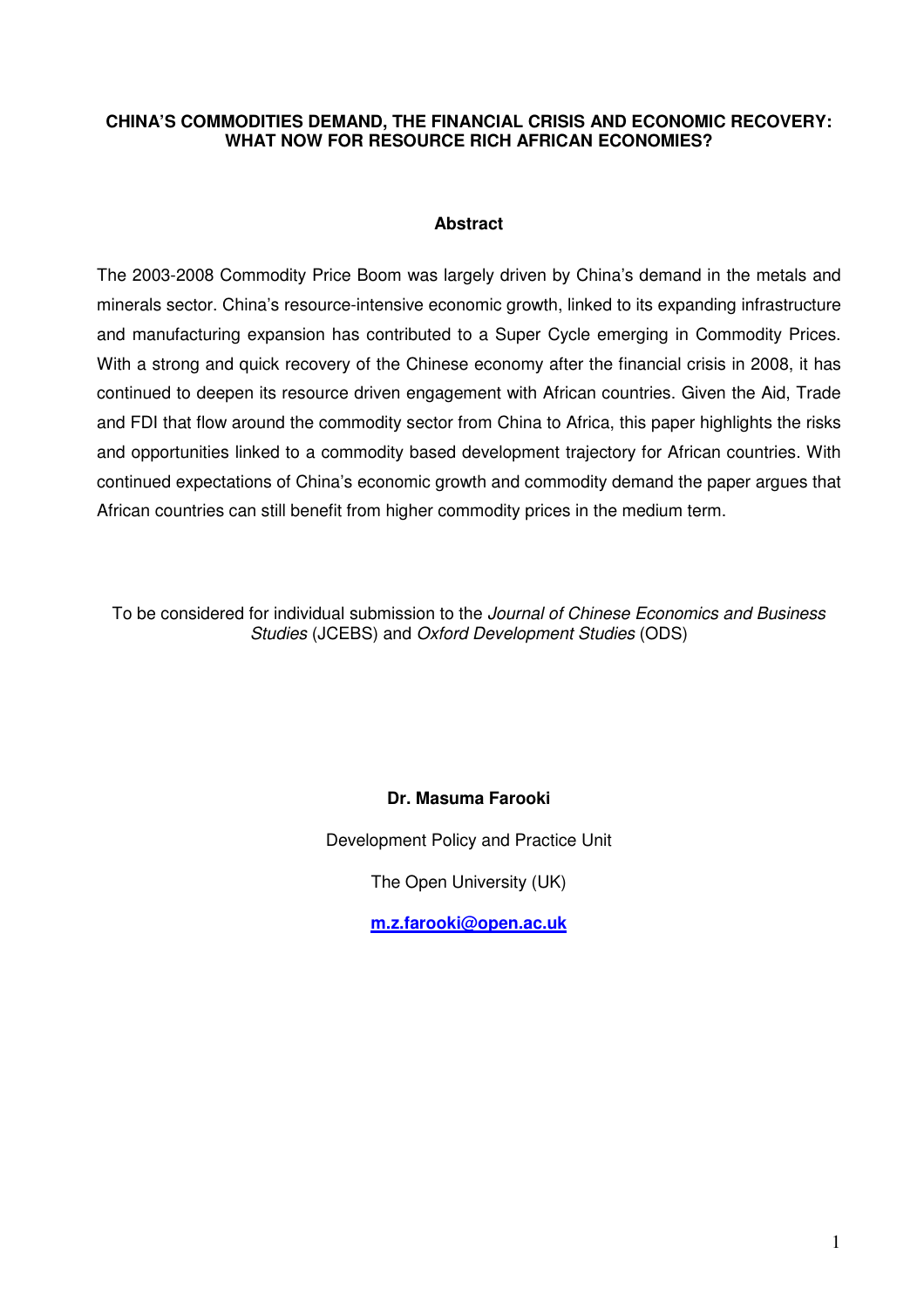### **CHINA'S COMMODITIES DEMAND, THE FINANCIAL CRISIS AND ECONOMIC RECOVERY: WHAT NOW FOR RESOURCE RICH AFRICAN ECONOMIES?**

#### **Abstract**

The 2003-2008 Commodity Price Boom was largely driven by China's demand in the metals and minerals sector. China's resource-intensive economic growth, linked to its expanding infrastructure and manufacturing expansion has contributed to a Super Cycle emerging in Commodity Prices. With a strong and quick recovery of the Chinese economy after the financial crisis in 2008, it has continued to deepen its resource driven engagement with African countries. Given the Aid, Trade and FDI that flow around the commodity sector from China to Africa, this paper highlights the risks and opportunities linked to a commodity based development trajectory for African countries. With continued expectations of China's economic growth and commodity demand the paper argues that African countries can still benefit from higher commodity prices in the medium term.

To be considered for individual submission to the Journal of Chinese Economics and Business Studies (JCEBS) and Oxford Development Studies (ODS)

# **Dr. Masuma Farooki**

Development Policy and Practice Unit

The Open University (UK)

**m.z.farooki@open.ac.uk**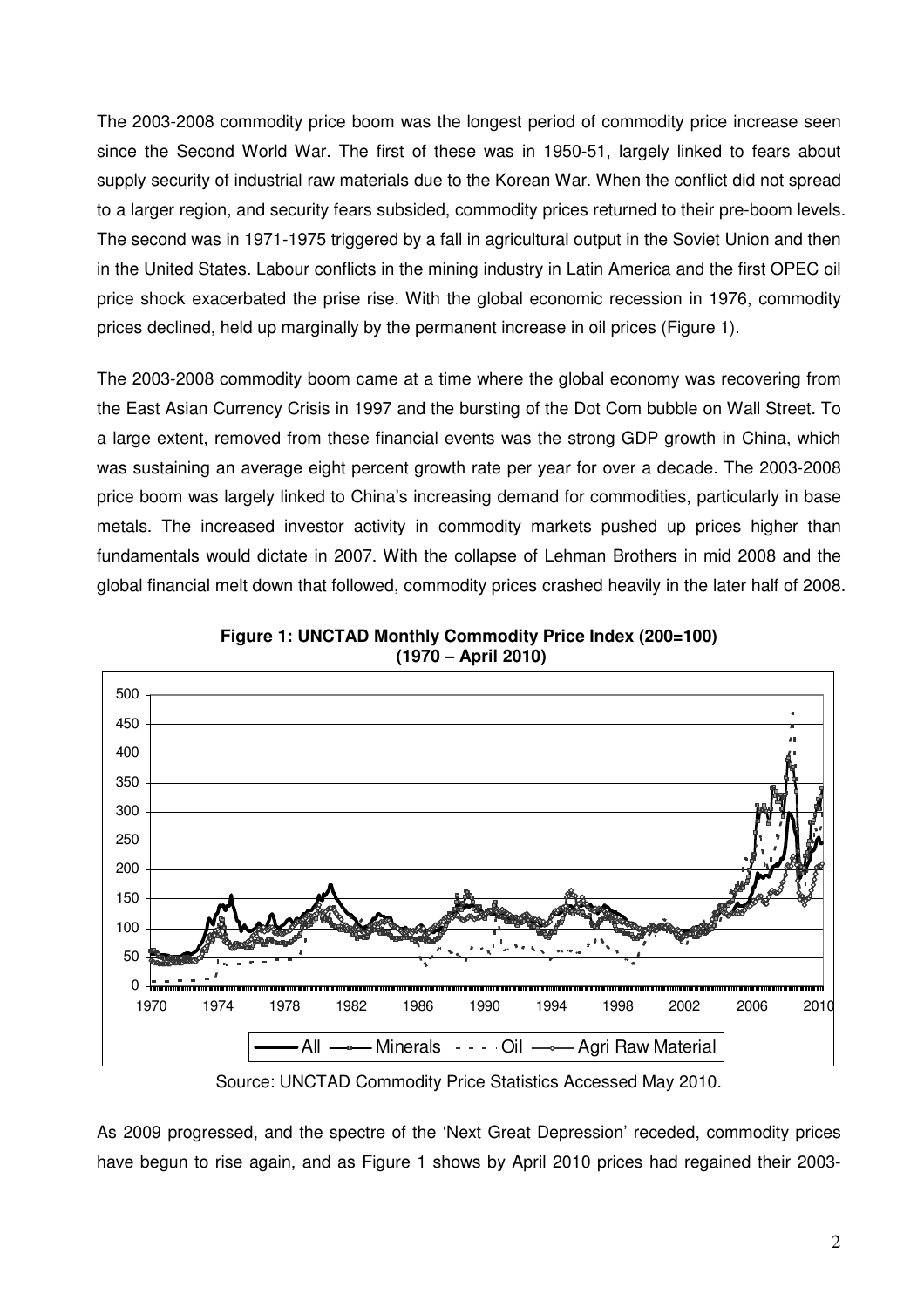The 2003-2008 commodity price boom was the longest period of commodity price increase seen since the Second World War. The first of these was in 1950-51, largely linked to fears about supply security of industrial raw materials due to the Korean War. When the conflict did not spread to a larger region, and security fears subsided, commodity prices returned to their pre-boom levels. The second was in 1971-1975 triggered by a fall in agricultural output in the Soviet Union and then in the United States. Labour conflicts in the mining industry in Latin America and the first OPEC oil price shock exacerbated the prise rise. With the global economic recession in 1976, commodity prices declined, held up marginally by the permanent increase in oil prices (Figure 1).

The 2003-2008 commodity boom came at a time where the global economy was recovering from the East Asian Currency Crisis in 1997 and the bursting of the Dot Com bubble on Wall Street. To a large extent, removed from these financial events was the strong GDP growth in China, which was sustaining an average eight percent growth rate per year for over a decade. The 2003-2008 price boom was largely linked to China's increasing demand for commodities, particularly in base metals. The increased investor activity in commodity markets pushed up prices higher than fundamentals would dictate in 2007. With the collapse of Lehman Brothers in mid 2008 and the global financial melt down that followed, commodity prices crashed heavily in the later half of 2008.



**Figure 1: UNCTAD Monthly Commodity Price Index (200=100) (1970 – April 2010)** 

Source: UNCTAD Commodity Price Statistics Accessed May 2010.

As 2009 progressed, and the spectre of the 'Next Great Depression' receded, commodity prices have begun to rise again, and as Figure 1 shows by April 2010 prices had regained their 2003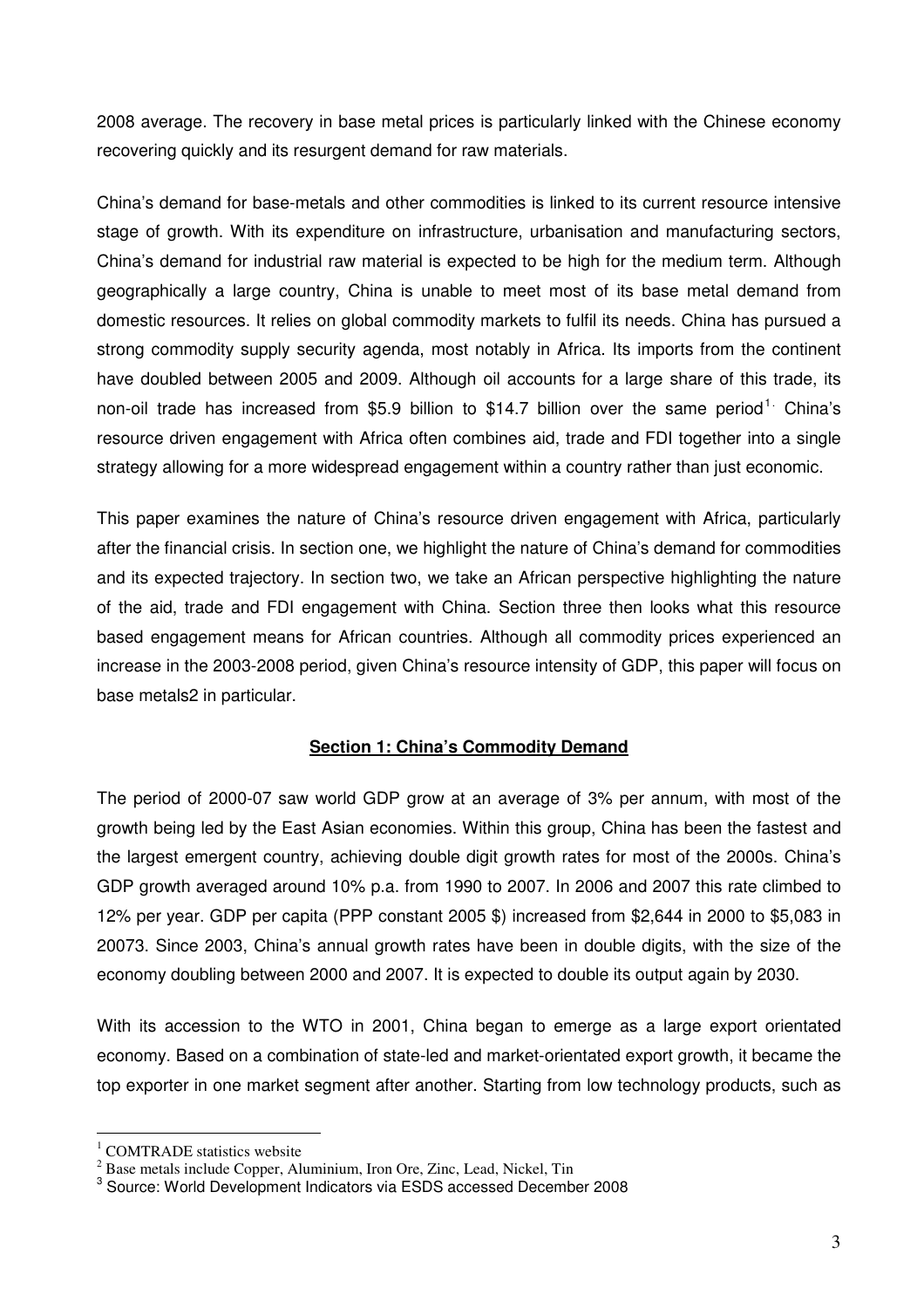2008 average. The recovery in base metal prices is particularly linked with the Chinese economy recovering quickly and its resurgent demand for raw materials.

China's demand for base-metals and other commodities is linked to its current resource intensive stage of growth. With its expenditure on infrastructure, urbanisation and manufacturing sectors, China's demand for industrial raw material is expected to be high for the medium term. Although geographically a large country, China is unable to meet most of its base metal demand from domestic resources. It relies on global commodity markets to fulfil its needs. China has pursued a strong commodity supply security agenda, most notably in Africa. Its imports from the continent have doubled between 2005 and 2009. Although oil accounts for a large share of this trade, its non-oil trade has increased from \$5.9 billion to \$14.7 billion over the same period<sup>1.</sup> China's resource driven engagement with Africa often combines aid, trade and FDI together into a single strategy allowing for a more widespread engagement within a country rather than just economic.

This paper examines the nature of China's resource driven engagement with Africa, particularly after the financial crisis. In section one, we highlight the nature of China's demand for commodities and its expected trajectory. In section two, we take an African perspective highlighting the nature of the aid, trade and FDI engagement with China. Section three then looks what this resource based engagement means for African countries. Although all commodity prices experienced an increase in the 2003-2008 period, given China's resource intensity of GDP, this paper will focus on base metals2 in particular.

# **Section 1: China's Commodity Demand**

The period of 2000-07 saw world GDP grow at an average of 3% per annum, with most of the growth being led by the East Asian economies. Within this group, China has been the fastest and the largest emergent country, achieving double digit growth rates for most of the 2000s. China's GDP growth averaged around 10% p.a. from 1990 to 2007. In 2006 and 2007 this rate climbed to 12% per year. GDP per capita (PPP constant 2005 \$) increased from \$2,644 in 2000 to \$5,083 in 20073. Since 2003, China's annual growth rates have been in double digits, with the size of the economy doubling between 2000 and 2007. It is expected to double its output again by 2030.

With its accession to the WTO in 2001, China began to emerge as a large export orientated economy. Based on a combination of state-led and market-orientated export growth, it became the top exporter in one market segment after another. Starting from low technology products, such as

<sup>&</sup>lt;sup>1</sup> COMTRADE statistics website

 $2^{2}$  Base metals include Copper, Aluminium, Iron Ore, Zinc, Lead, Nickel, Tin

<sup>&</sup>lt;sup>3</sup> Source: World Development Indicators via ESDS accessed December 2008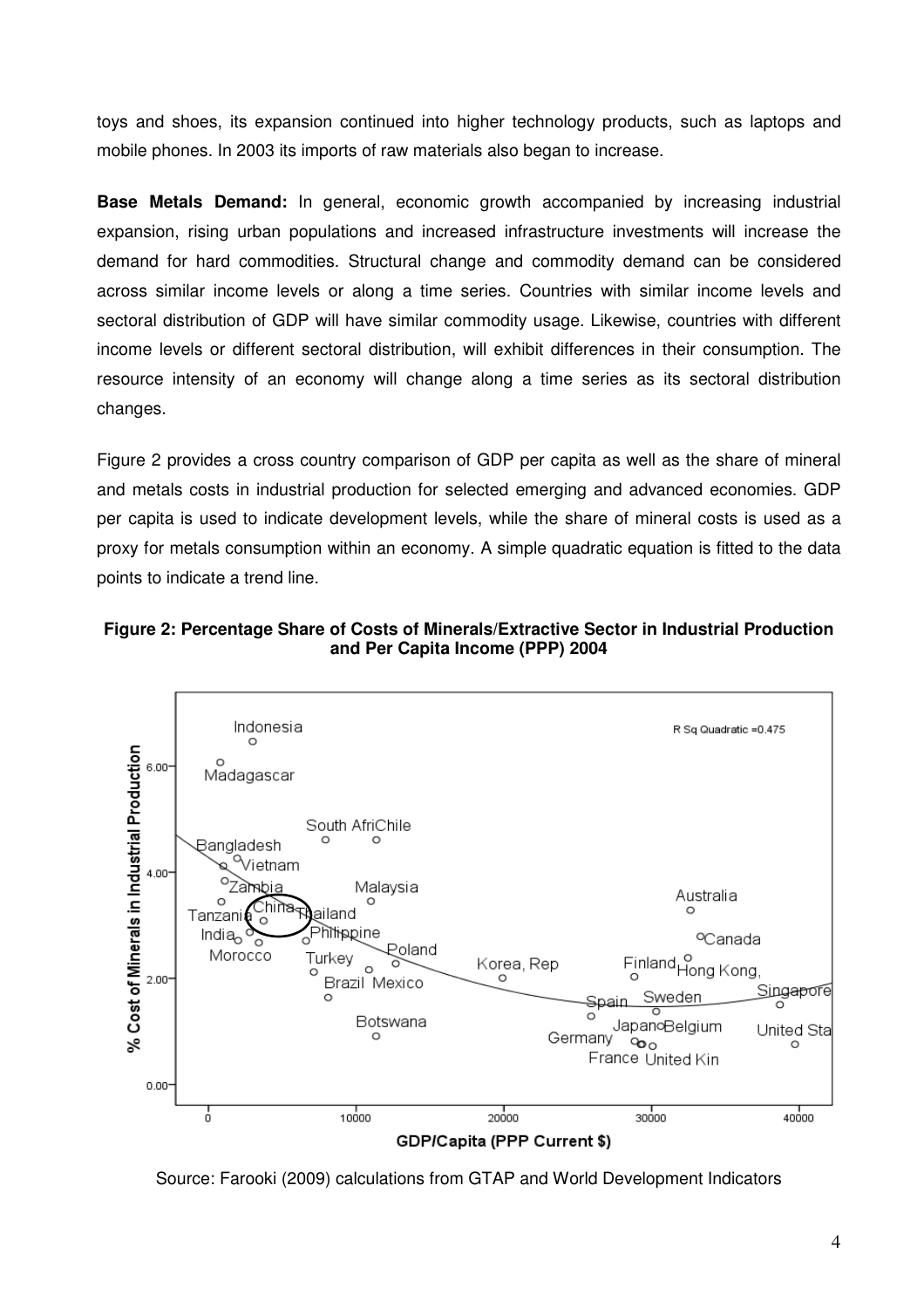toys and shoes, its expansion continued into higher technology products, such as laptops and mobile phones. In 2003 its imports of raw materials also began to increase.

**Base Metals Demand:** In general, economic growth accompanied by increasing industrial expansion, rising urban populations and increased infrastructure investments will increase the demand for hard commodities. Structural change and commodity demand can be considered across similar income levels or along a time series. Countries with similar income levels and sectoral distribution of GDP will have similar commodity usage. Likewise, countries with different income levels or different sectoral distribution, will exhibit differences in their consumption. The resource intensity of an economy will change along a time series as its sectoral distribution changes.

Figure 2 provides a cross country comparison of GDP per capita as well as the share of mineral and metals costs in industrial production for selected emerging and advanced economies. GDP per capita is used to indicate development levels, while the share of mineral costs is used as a proxy for metals consumption within an economy. A simple quadratic equation is fitted to the data points to indicate a trend line.





Source: Farooki (2009) calculations from GTAP and World Development Indicators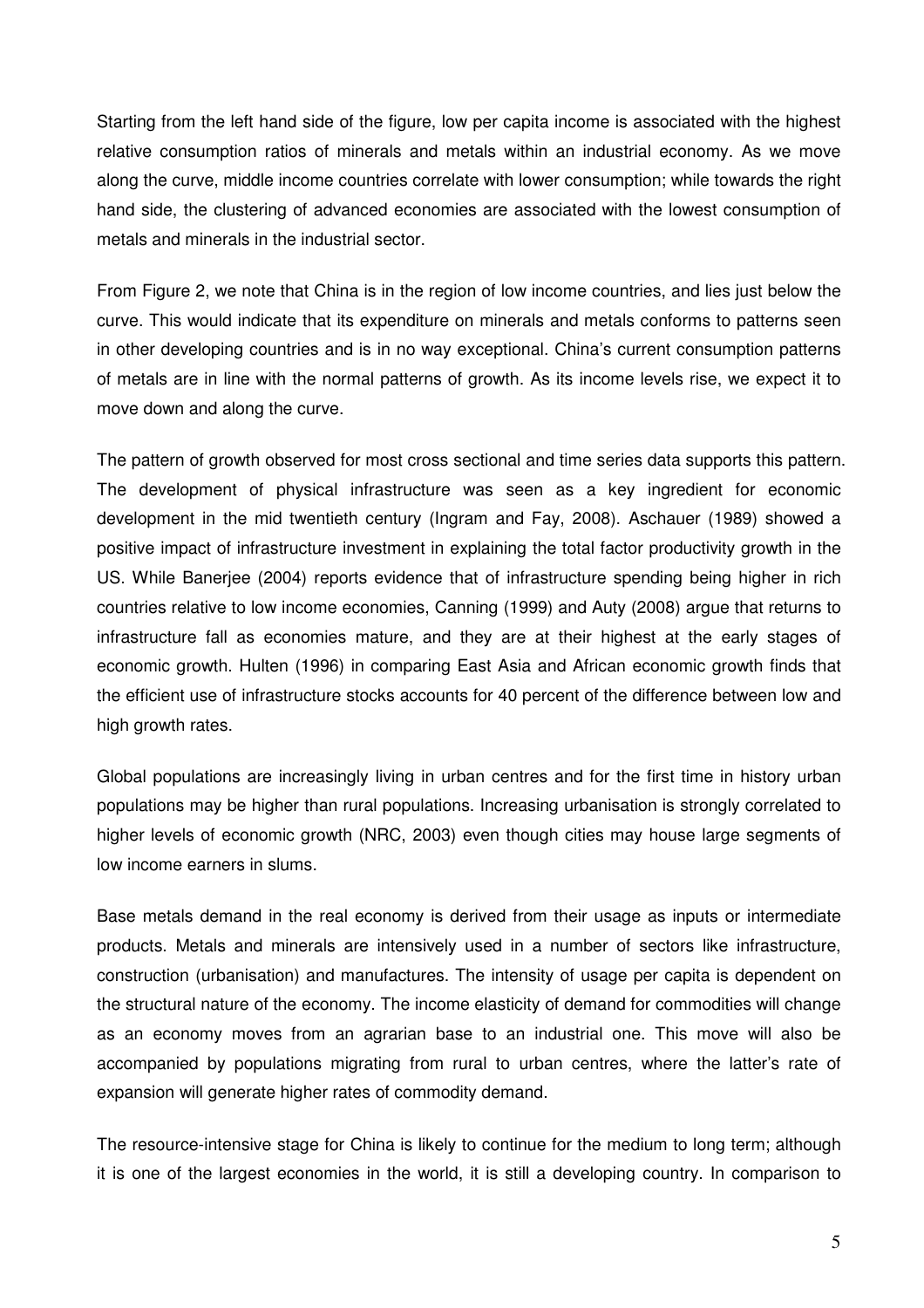Starting from the left hand side of the figure, low per capita income is associated with the highest relative consumption ratios of minerals and metals within an industrial economy. As we move along the curve, middle income countries correlate with lower consumption; while towards the right hand side, the clustering of advanced economies are associated with the lowest consumption of metals and minerals in the industrial sector.

From Figure 2, we note that China is in the region of low income countries, and lies just below the curve. This would indicate that its expenditure on minerals and metals conforms to patterns seen in other developing countries and is in no way exceptional. China's current consumption patterns of metals are in line with the normal patterns of growth. As its income levels rise, we expect it to move down and along the curve.

The pattern of growth observed for most cross sectional and time series data supports this pattern. The development of physical infrastructure was seen as a key ingredient for economic development in the mid twentieth century (Ingram and Fay, 2008). Aschauer (1989) showed a positive impact of infrastructure investment in explaining the total factor productivity growth in the US. While Banerjee (2004) reports evidence that of infrastructure spending being higher in rich countries relative to low income economies, Canning (1999) and Auty (2008) argue that returns to infrastructure fall as economies mature, and they are at their highest at the early stages of economic growth. Hulten (1996) in comparing East Asia and African economic growth finds that the efficient use of infrastructure stocks accounts for 40 percent of the difference between low and high growth rates.

Global populations are increasingly living in urban centres and for the first time in history urban populations may be higher than rural populations. Increasing urbanisation is strongly correlated to higher levels of economic growth (NRC, 2003) even though cities may house large segments of low income earners in slums.

Base metals demand in the real economy is derived from their usage as inputs or intermediate products. Metals and minerals are intensively used in a number of sectors like infrastructure, construction (urbanisation) and manufactures. The intensity of usage per capita is dependent on the structural nature of the economy. The income elasticity of demand for commodities will change as an economy moves from an agrarian base to an industrial one. This move will also be accompanied by populations migrating from rural to urban centres, where the latter's rate of expansion will generate higher rates of commodity demand.

The resource-intensive stage for China is likely to continue for the medium to long term; although it is one of the largest economies in the world, it is still a developing country. In comparison to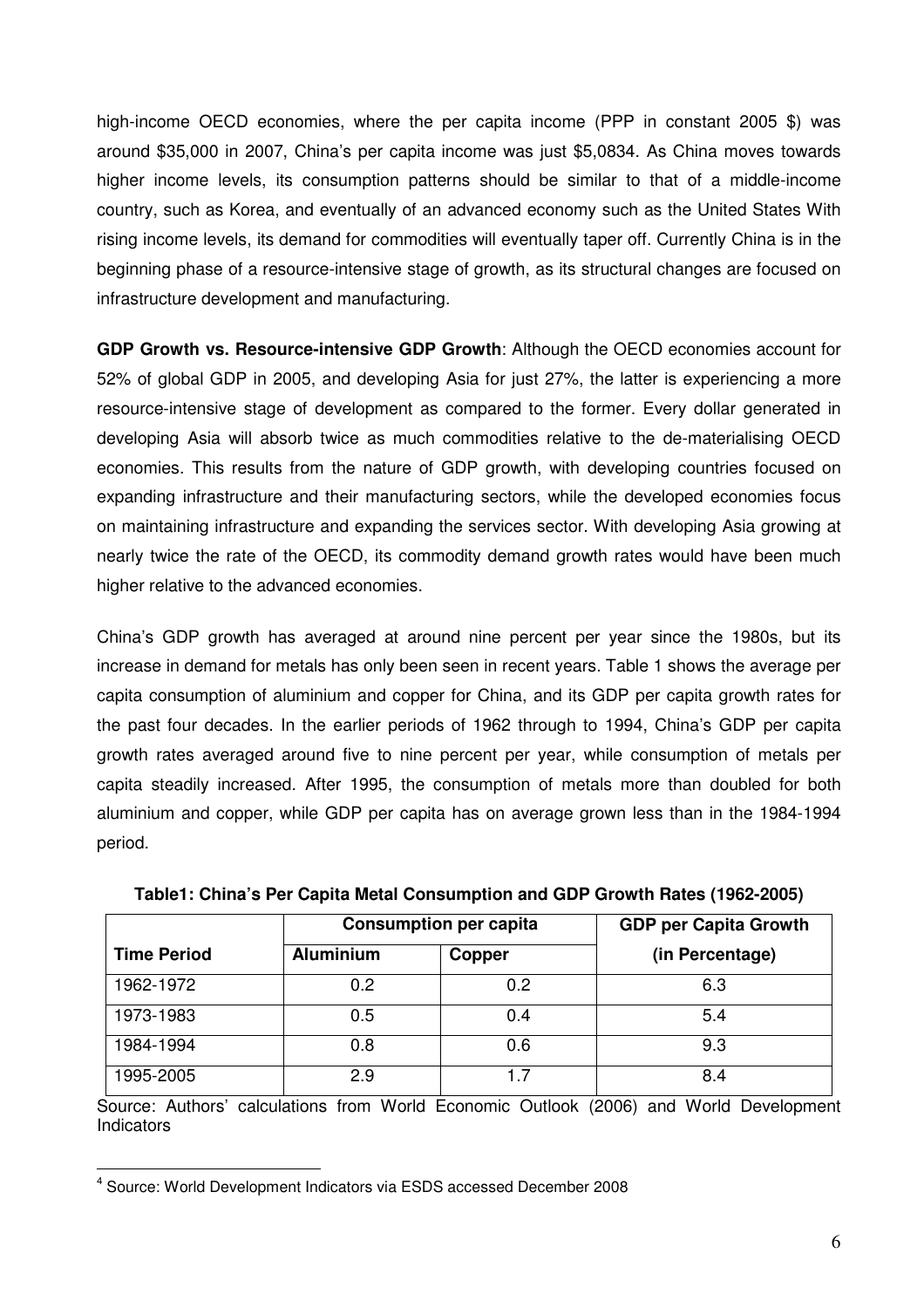high-income OECD economies, where the per capita income (PPP in constant 2005 \$) was around \$35,000 in 2007, China's per capita income was just \$5,0834. As China moves towards higher income levels, its consumption patterns should be similar to that of a middle-income country, such as Korea, and eventually of an advanced economy such as the United States With rising income levels, its demand for commodities will eventually taper off. Currently China is in the beginning phase of a resource-intensive stage of growth, as its structural changes are focused on infrastructure development and manufacturing.

**GDP Growth vs. Resource-intensive GDP Growth**: Although the OECD economies account for 52% of global GDP in 2005, and developing Asia for just 27%, the latter is experiencing a more resource-intensive stage of development as compared to the former. Every dollar generated in developing Asia will absorb twice as much commodities relative to the de-materialising OECD economies. This results from the nature of GDP growth, with developing countries focused on expanding infrastructure and their manufacturing sectors, while the developed economies focus on maintaining infrastructure and expanding the services sector. With developing Asia growing at nearly twice the rate of the OECD, its commodity demand growth rates would have been much higher relative to the advanced economies.

China's GDP growth has averaged at around nine percent per year since the 1980s, but its increase in demand for metals has only been seen in recent years. Table 1 shows the average per capita consumption of aluminium and copper for China, and its GDP per capita growth rates for the past four decades. In the earlier periods of 1962 through to 1994, China's GDP per capita growth rates averaged around five to nine percent per year, while consumption of metals per capita steadily increased. After 1995, the consumption of metals more than doubled for both aluminium and copper, while GDP per capita has on average grown less than in the 1984-1994 period.

| <b>Consumption per capita</b> |                  |        | <b>GDP per Capita Growth</b> |  |  |
|-------------------------------|------------------|--------|------------------------------|--|--|
| <b>Time Period</b>            | <b>Aluminium</b> | Copper | (in Percentage)              |  |  |
| 1962-1972                     | 0.2              | 0.2    | 6.3                          |  |  |
| 1973-1983                     | 0.5              | 0.4    | 5.4                          |  |  |
| 1984-1994                     | 0.8              | 0.6    | 9.3                          |  |  |
| 1995-2005                     | 2.9              | 1.7    | 8.4                          |  |  |

**Table1: China's Per Capita Metal Consumption and GDP Growth Rates (1962-2005)** 

Source: Authors' calculations from World Economic Outlook (2006) and World Development **Indicators** 

 $\overline{\phantom{a}}$ 4 Source: World Development Indicators via ESDS accessed December 2008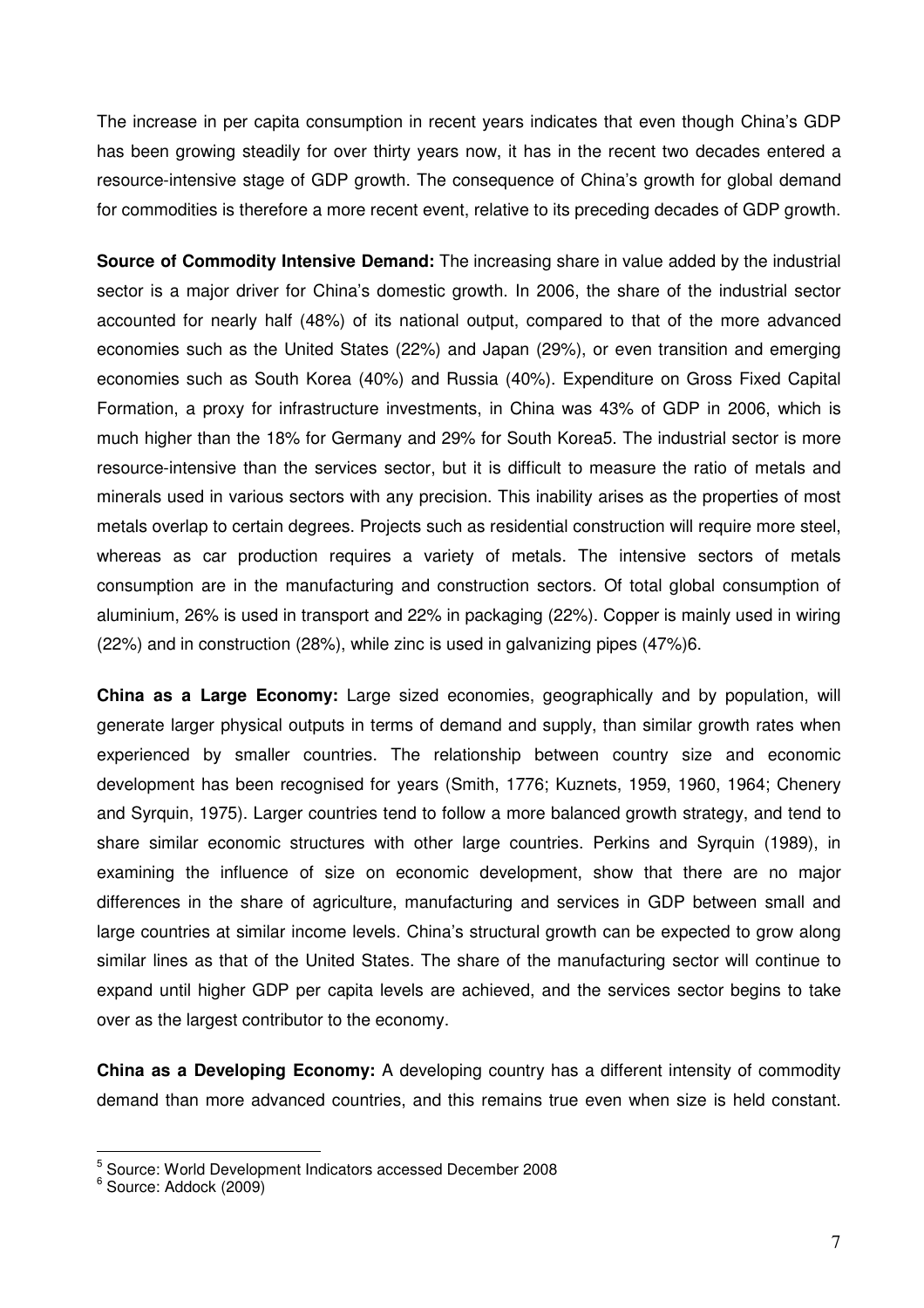The increase in per capita consumption in recent years indicates that even though China's GDP has been growing steadily for over thirty years now, it has in the recent two decades entered a resource-intensive stage of GDP growth. The consequence of China's growth for global demand for commodities is therefore a more recent event, relative to its preceding decades of GDP growth.

**Source of Commodity Intensive Demand:** The increasing share in value added by the industrial sector is a major driver for China's domestic growth. In 2006, the share of the industrial sector accounted for nearly half (48%) of its national output, compared to that of the more advanced economies such as the United States (22%) and Japan (29%), or even transition and emerging economies such as South Korea (40%) and Russia (40%). Expenditure on Gross Fixed Capital Formation, a proxy for infrastructure investments, in China was 43% of GDP in 2006, which is much higher than the 18% for Germany and 29% for South Korea5. The industrial sector is more resource-intensive than the services sector, but it is difficult to measure the ratio of metals and minerals used in various sectors with any precision. This inability arises as the properties of most metals overlap to certain degrees. Projects such as residential construction will require more steel, whereas as car production requires a variety of metals. The intensive sectors of metals consumption are in the manufacturing and construction sectors. Of total global consumption of aluminium, 26% is used in transport and 22% in packaging (22%). Copper is mainly used in wiring (22%) and in construction (28%), while zinc is used in galvanizing pipes (47%)6.

**China as a Large Economy:** Large sized economies, geographically and by population, will generate larger physical outputs in terms of demand and supply, than similar growth rates when experienced by smaller countries. The relationship between country size and economic development has been recognised for years (Smith, 1776; Kuznets, 1959, 1960, 1964; Chenery and Syrquin, 1975). Larger countries tend to follow a more balanced growth strategy, and tend to share similar economic structures with other large countries. Perkins and Syrquin (1989), in examining the influence of size on economic development, show that there are no major differences in the share of agriculture, manufacturing and services in GDP between small and large countries at similar income levels. China's structural growth can be expected to grow along similar lines as that of the United States. The share of the manufacturing sector will continue to expand until higher GDP per capita levels are achieved, and the services sector begins to take over as the largest contributor to the economy.

**China as a Developing Economy:** A developing country has a different intensity of commodity demand than more advanced countries, and this remains true even when size is held constant.

 5 Source: World Development Indicators accessed December 2008

<sup>6</sup> Source: Addock (2009)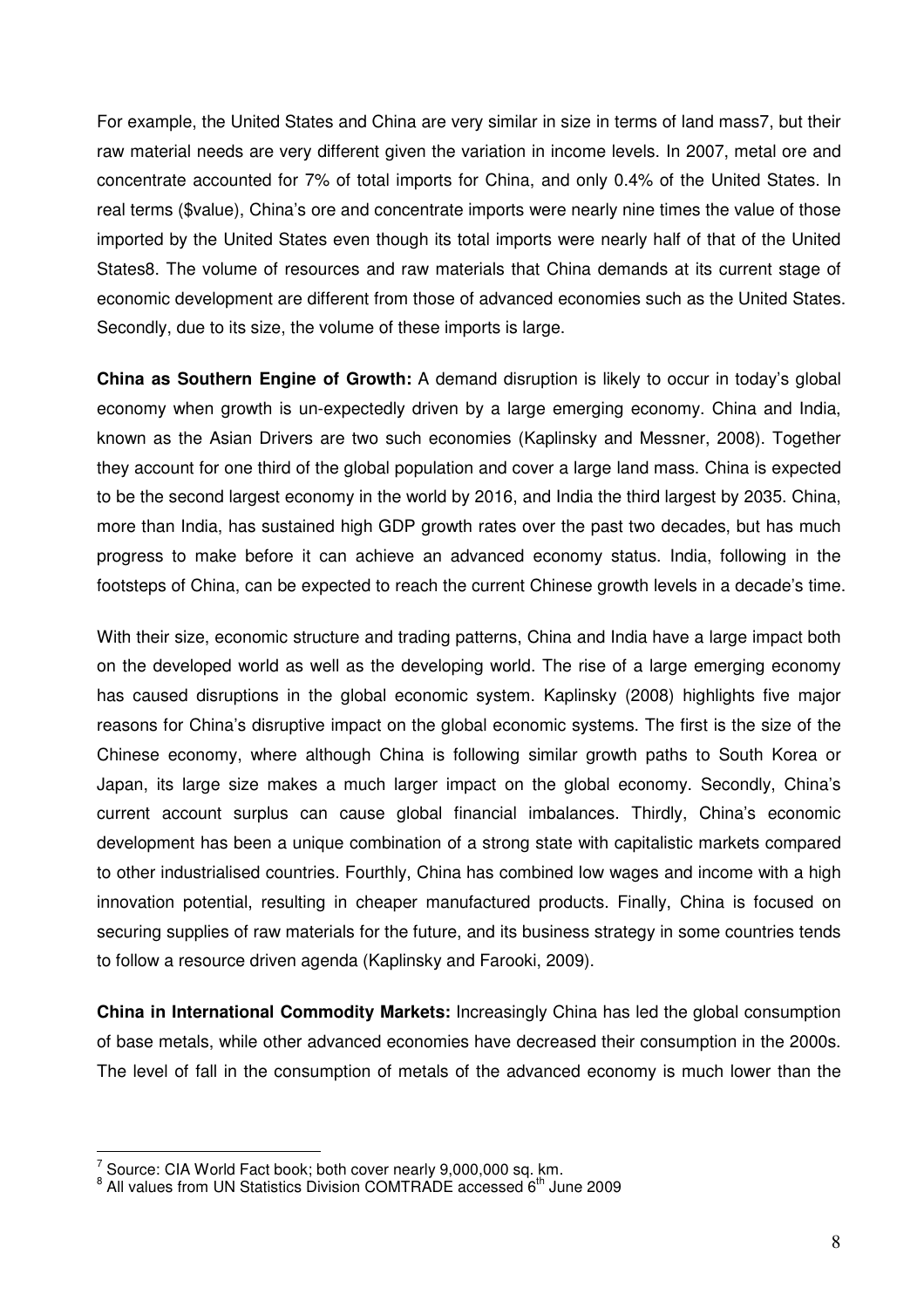For example, the United States and China are very similar in size in terms of land mass7, but their raw material needs are very different given the variation in income levels. In 2007, metal ore and concentrate accounted for 7% of total imports for China, and only 0.4% of the United States. In real terms (\$value), China's ore and concentrate imports were nearly nine times the value of those imported by the United States even though its total imports were nearly half of that of the United States8. The volume of resources and raw materials that China demands at its current stage of economic development are different from those of advanced economies such as the United States. Secondly, due to its size, the volume of these imports is large.

**China as Southern Engine of Growth:** A demand disruption is likely to occur in today's global economy when growth is un-expectedly driven by a large emerging economy. China and India, known as the Asian Drivers are two such economies (Kaplinsky and Messner, 2008). Together they account for one third of the global population and cover a large land mass. China is expected to be the second largest economy in the world by 2016, and India the third largest by 2035. China, more than India, has sustained high GDP growth rates over the past two decades, but has much progress to make before it can achieve an advanced economy status. India, following in the footsteps of China, can be expected to reach the current Chinese growth levels in a decade's time.

With their size, economic structure and trading patterns, China and India have a large impact both on the developed world as well as the developing world. The rise of a large emerging economy has caused disruptions in the global economic system. Kaplinsky (2008) highlights five major reasons for China's disruptive impact on the global economic systems. The first is the size of the Chinese economy, where although China is following similar growth paths to South Korea or Japan, its large size makes a much larger impact on the global economy. Secondly, China's current account surplus can cause global financial imbalances. Thirdly, China's economic development has been a unique combination of a strong state with capitalistic markets compared to other industrialised countries. Fourthly, China has combined low wages and income with a high innovation potential, resulting in cheaper manufactured products. Finally, China is focused on securing supplies of raw materials for the future, and its business strategy in some countries tends to follow a resource driven agenda (Kaplinsky and Farooki, 2009).

**China in International Commodity Markets:** Increasingly China has led the global consumption of base metals, while other advanced economies have decreased their consumption in the 2000s. The level of fall in the consumption of metals of the advanced economy is much lower than the

 7 Source: CIA World Fact book; both cover nearly 9,000,000 sq. km.

<sup>&</sup>lt;sup>8</sup> All values from UN Statistics Division COMTRADE accessed 6<sup>th</sup> June 2009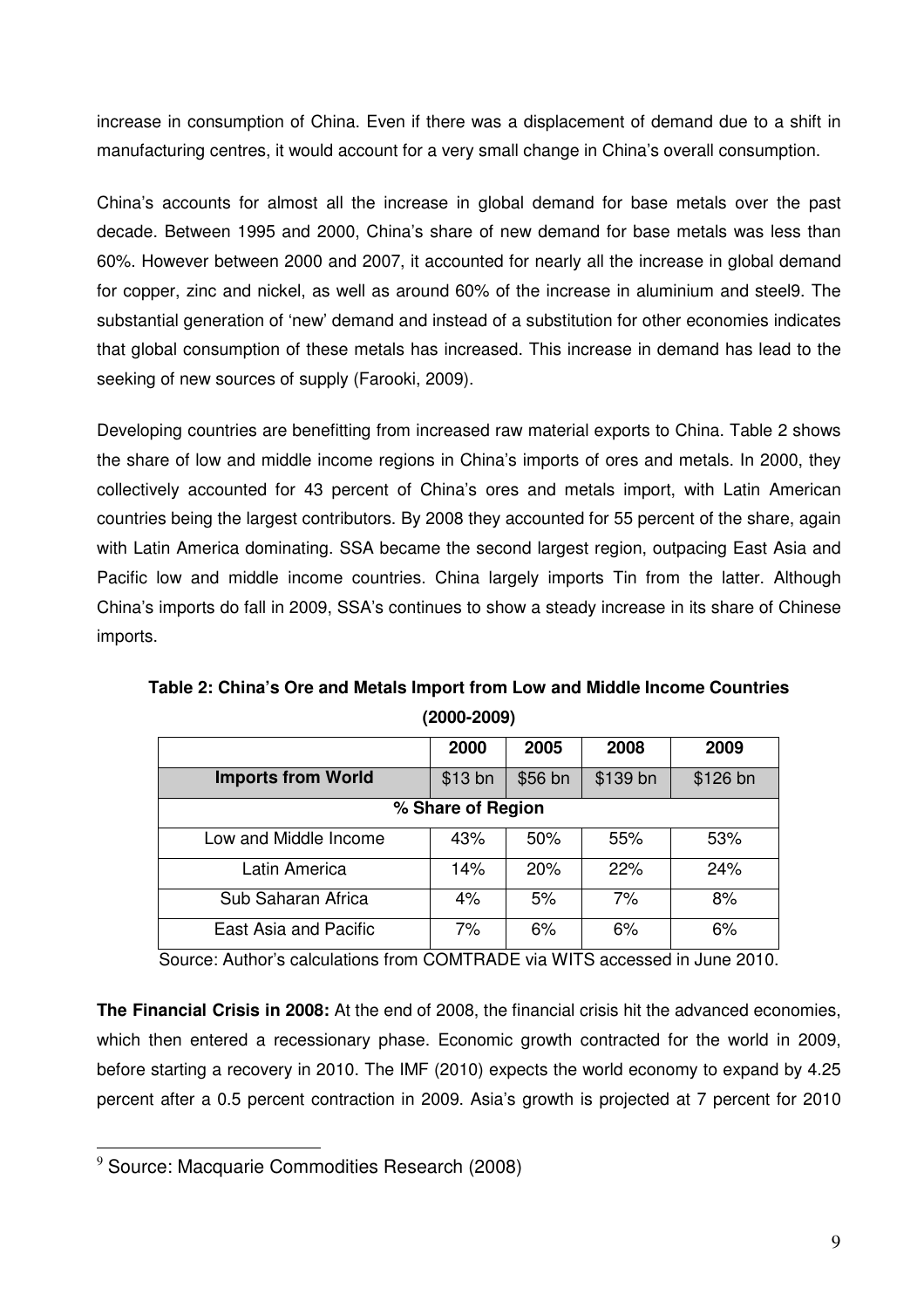increase in consumption of China. Even if there was a displacement of demand due to a shift in manufacturing centres, it would account for a very small change in China's overall consumption.

China's accounts for almost all the increase in global demand for base metals over the past decade. Between 1995 and 2000, China's share of new demand for base metals was less than 60%. However between 2000 and 2007, it accounted for nearly all the increase in global demand for copper, zinc and nickel, as well as around 60% of the increase in aluminium and steel9. The substantial generation of 'new' demand and instead of a substitution for other economies indicates that global consumption of these metals has increased. This increase in demand has lead to the seeking of new sources of supply (Farooki, 2009).

Developing countries are benefitting from increased raw material exports to China. Table 2 shows the share of low and middle income regions in China's imports of ores and metals. In 2000, they collectively accounted for 43 percent of China's ores and metals import, with Latin American countries being the largest contributors. By 2008 they accounted for 55 percent of the share, again with Latin America dominating. SSA became the second largest region, outpacing East Asia and Pacific low and middle income countries. China largely imports Tin from the latter. Although China's imports do fall in 2009, SSA's continues to show a steady increase in its share of Chinese imports.

**Table 2: China's Ore and Metals Import from Low and Middle Income Countries (2000-2009)** 

|                           | 2000    | 2005    | 2008     | 2009     |
|---------------------------|---------|---------|----------|----------|
| <b>Imports from World</b> | \$13 bn | \$56 bn | \$139 bn | \$126 bn |
| % Share of Region         |         |         |          |          |
| Low and Middle Income     | 43%     | 50%     | 55%      | 53%      |
| Latin America             | 14%     | 20%     | 22%      | 24%      |
| Sub Saharan Africa        | 4%      | 5%      | 7%       | 8%       |
| East Asia and Pacific     | 7%      | 6%      | 6%       | 6%       |

Source: Author's calculations from COMTRADE via WITS accessed in June 2010.

**The Financial Crisis in 2008:** At the end of 2008, the financial crisis hit the advanced economies, which then entered a recessionary phase. Economic growth contracted for the world in 2009, before starting a recovery in 2010. The IMF (2010) expects the world economy to expand by 4.25 percent after a 0.5 percent contraction in 2009. Asia's growth is projected at 7 percent for 2010

 $9$  Source: Macquarie Commodities Research (2008)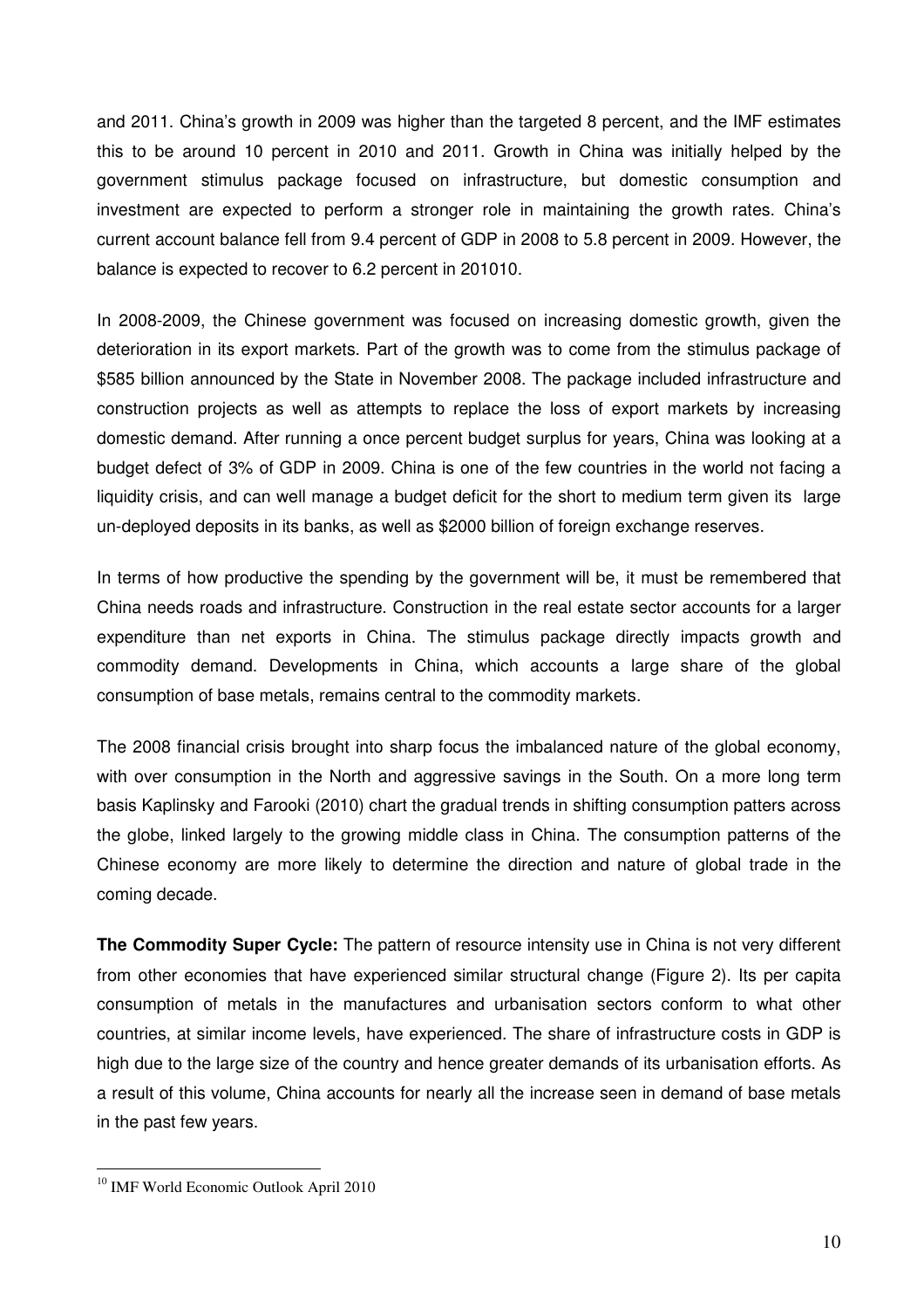and 2011. China's growth in 2009 was higher than the targeted 8 percent, and the IMF estimates this to be around 10 percent in 2010 and 2011. Growth in China was initially helped by the government stimulus package focused on infrastructure, but domestic consumption and investment are expected to perform a stronger role in maintaining the growth rates. China's current account balance fell from 9.4 percent of GDP in 2008 to 5.8 percent in 2009. However, the balance is expected to recover to 6.2 percent in 201010.

In 2008-2009, the Chinese government was focused on increasing domestic growth, given the deterioration in its export markets. Part of the growth was to come from the stimulus package of \$585 billion announced by the State in November 2008. The package included infrastructure and construction projects as well as attempts to replace the loss of export markets by increasing domestic demand. After running a once percent budget surplus for years, China was looking at a budget defect of 3% of GDP in 2009. China is one of the few countries in the world not facing a liquidity crisis, and can well manage a budget deficit for the short to medium term given its large un-deployed deposits in its banks, as well as \$2000 billion of foreign exchange reserves.

In terms of how productive the spending by the government will be, it must be remembered that China needs roads and infrastructure. Construction in the real estate sector accounts for a larger expenditure than net exports in China. The stimulus package directly impacts growth and commodity demand. Developments in China, which accounts a large share of the global consumption of base metals, remains central to the commodity markets.

The 2008 financial crisis brought into sharp focus the imbalanced nature of the global economy, with over consumption in the North and aggressive savings in the South. On a more long term basis Kaplinsky and Farooki (2010) chart the gradual trends in shifting consumption patters across the globe, linked largely to the growing middle class in China. The consumption patterns of the Chinese economy are more likely to determine the direction and nature of global trade in the coming decade.

**The Commodity Super Cycle:** The pattern of resource intensity use in China is not very different from other economies that have experienced similar structural change (Figure 2). Its per capita consumption of metals in the manufactures and urbanisation sectors conform to what other countries, at similar income levels, have experienced. The share of infrastructure costs in GDP is high due to the large size of the country and hence greater demands of its urbanisation efforts. As a result of this volume, China accounts for nearly all the increase seen in demand of base metals in the past few years.

<sup>&</sup>lt;sup>10</sup> IMF World Economic Outlook April 2010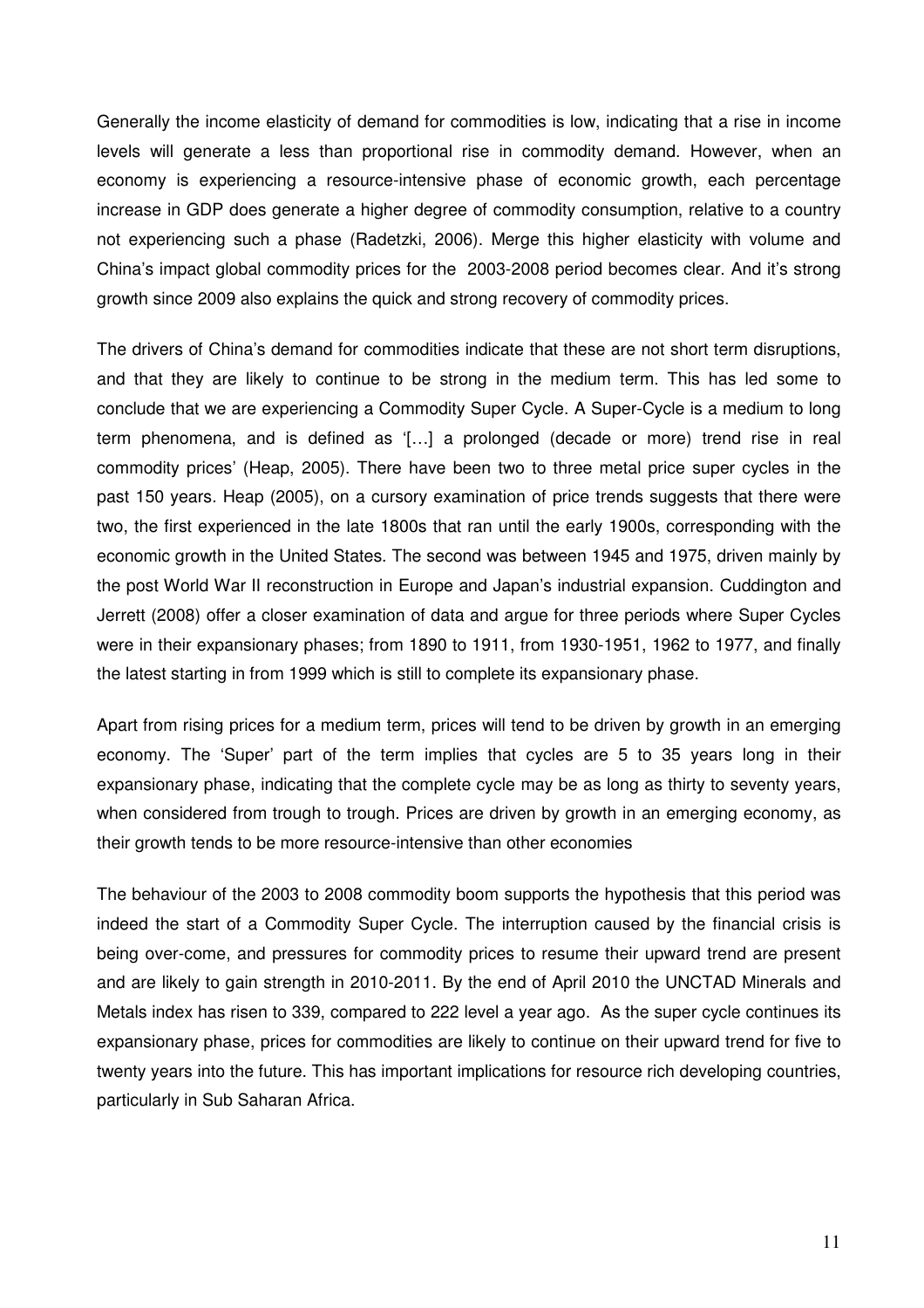Generally the income elasticity of demand for commodities is low, indicating that a rise in income levels will generate a less than proportional rise in commodity demand. However, when an economy is experiencing a resource-intensive phase of economic growth, each percentage increase in GDP does generate a higher degree of commodity consumption, relative to a country not experiencing such a phase (Radetzki, 2006). Merge this higher elasticity with volume and China's impact global commodity prices for the 2003-2008 period becomes clear. And it's strong growth since 2009 also explains the quick and strong recovery of commodity prices.

The drivers of China's demand for commodities indicate that these are not short term disruptions, and that they are likely to continue to be strong in the medium term. This has led some to conclude that we are experiencing a Commodity Super Cycle. A Super-Cycle is a medium to long term phenomena, and is defined as '[…] a prolonged (decade or more) trend rise in real commodity prices' (Heap, 2005). There have been two to three metal price super cycles in the past 150 years. Heap (2005), on a cursory examination of price trends suggests that there were two, the first experienced in the late 1800s that ran until the early 1900s, corresponding with the economic growth in the United States. The second was between 1945 and 1975, driven mainly by the post World War II reconstruction in Europe and Japan's industrial expansion. Cuddington and Jerrett (2008) offer a closer examination of data and argue for three periods where Super Cycles were in their expansionary phases; from 1890 to 1911, from 1930-1951, 1962 to 1977, and finally the latest starting in from 1999 which is still to complete its expansionary phase.

Apart from rising prices for a medium term, prices will tend to be driven by growth in an emerging economy. The 'Super' part of the term implies that cycles are 5 to 35 years long in their expansionary phase, indicating that the complete cycle may be as long as thirty to seventy years, when considered from trough to trough. Prices are driven by growth in an emerging economy, as their growth tends to be more resource-intensive than other economies

The behaviour of the 2003 to 2008 commodity boom supports the hypothesis that this period was indeed the start of a Commodity Super Cycle. The interruption caused by the financial crisis is being over-come, and pressures for commodity prices to resume their upward trend are present and are likely to gain strength in 2010-2011. By the end of April 2010 the UNCTAD Minerals and Metals index has risen to 339, compared to 222 level a year ago. As the super cycle continues its expansionary phase, prices for commodities are likely to continue on their upward trend for five to twenty years into the future. This has important implications for resource rich developing countries, particularly in Sub Saharan Africa.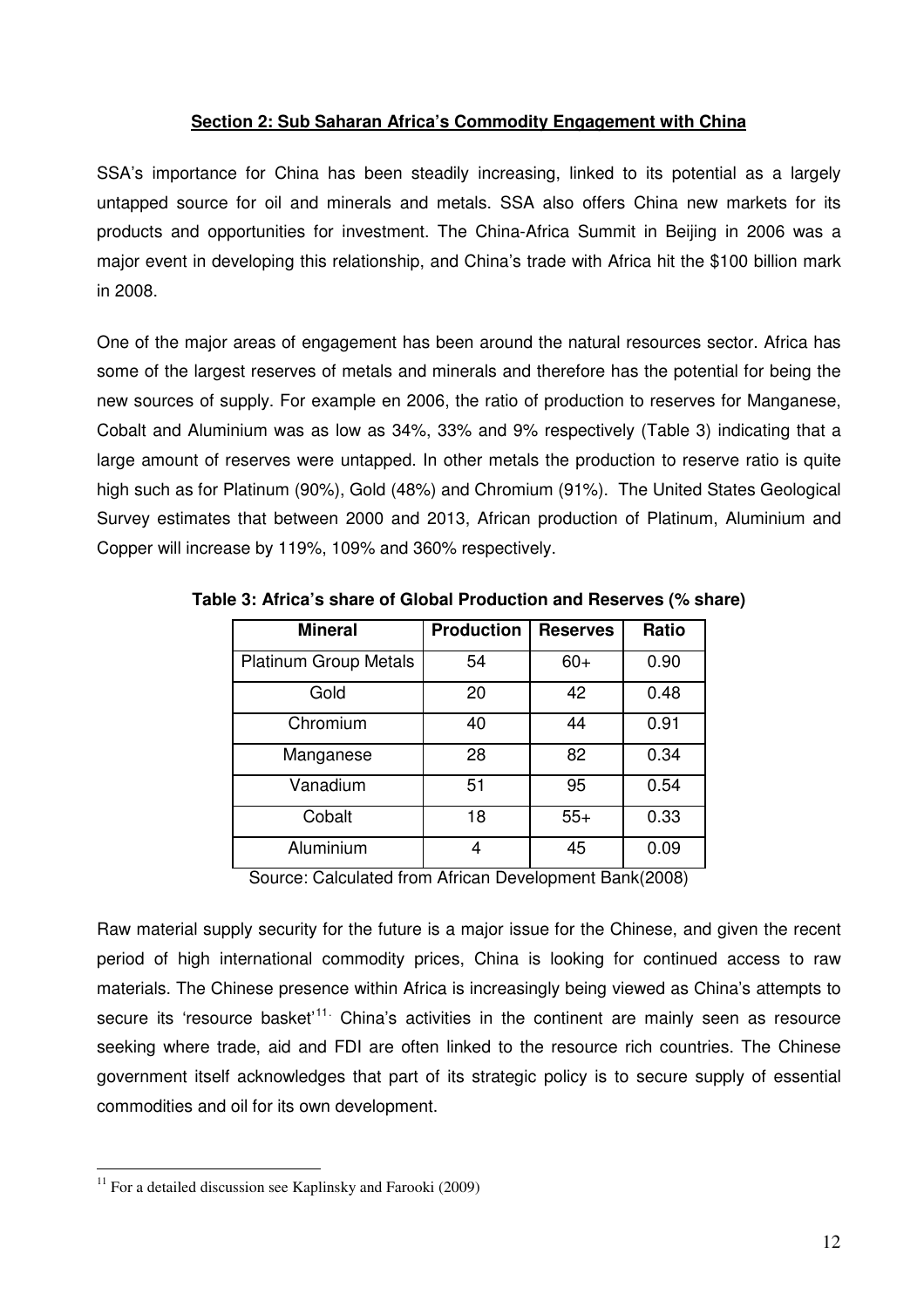# **Section 2: Sub Saharan Africa's Commodity Engagement with China**

SSA's importance for China has been steadily increasing, linked to its potential as a largely untapped source for oil and minerals and metals. SSA also offers China new markets for its products and opportunities for investment. The China-Africa Summit in Beijing in 2006 was a major event in developing this relationship, and China's trade with Africa hit the \$100 billion mark in 2008.

One of the major areas of engagement has been around the natural resources sector. Africa has some of the largest reserves of metals and minerals and therefore has the potential for being the new sources of supply. For example en 2006, the ratio of production to reserves for Manganese, Cobalt and Aluminium was as low as 34%, 33% and 9% respectively (Table 3) indicating that a large amount of reserves were untapped. In other metals the production to reserve ratio is quite high such as for Platinum (90%), Gold (48%) and Chromium (91%). The United States Geological Survey estimates that between 2000 and 2013, African production of Platinum, Aluminium and Copper will increase by 119%, 109% and 360% respectively.

| <b>Mineral</b>               | <b>Production</b> | <b>Reserves</b> | Ratio                                                                         |
|------------------------------|-------------------|-----------------|-------------------------------------------------------------------------------|
| <b>Platinum Group Metals</b> | 54                | $60+$           | 0.90                                                                          |
| Gold                         | 20                | 42              | 0.48                                                                          |
| Chromium                     | 40                | 44              | 0.91                                                                          |
| Manganese                    | 28                | 82              | 0.34                                                                          |
| Vanadium                     | 51                | 95              | 0.54                                                                          |
| Cobalt                       | 18                | $55+$           | 0.33                                                                          |
| Aluminium                    | 4                 | 45              | 0.09                                                                          |
| _____                        | .                 |                 | $\mathbf{1}$ $\mathbf{1}$ $\mathbf{2}$ $\mathbf{3}$ $\mathbf{3}$ $\mathbf{4}$ |

**Table 3: Africa's share of Global Production and Reserves (% share)** 

Source: Calculated from African Development Bank(2008)

Raw material supply security for the future is a major issue for the Chinese, and given the recent period of high international commodity prices, China is looking for continued access to raw materials. The Chinese presence within Africa is increasingly being viewed as China's attempts to secure its 'resource basket'<sup>11.</sup> China's activities in the continent are mainly seen as resource seeking where trade, aid and FDI are often linked to the resource rich countries. The Chinese government itself acknowledges that part of its strategic policy is to secure supply of essential commodities and oil for its own development.

 $\overline{a}$  $11$  For a detailed discussion see Kaplinsky and Farooki (2009)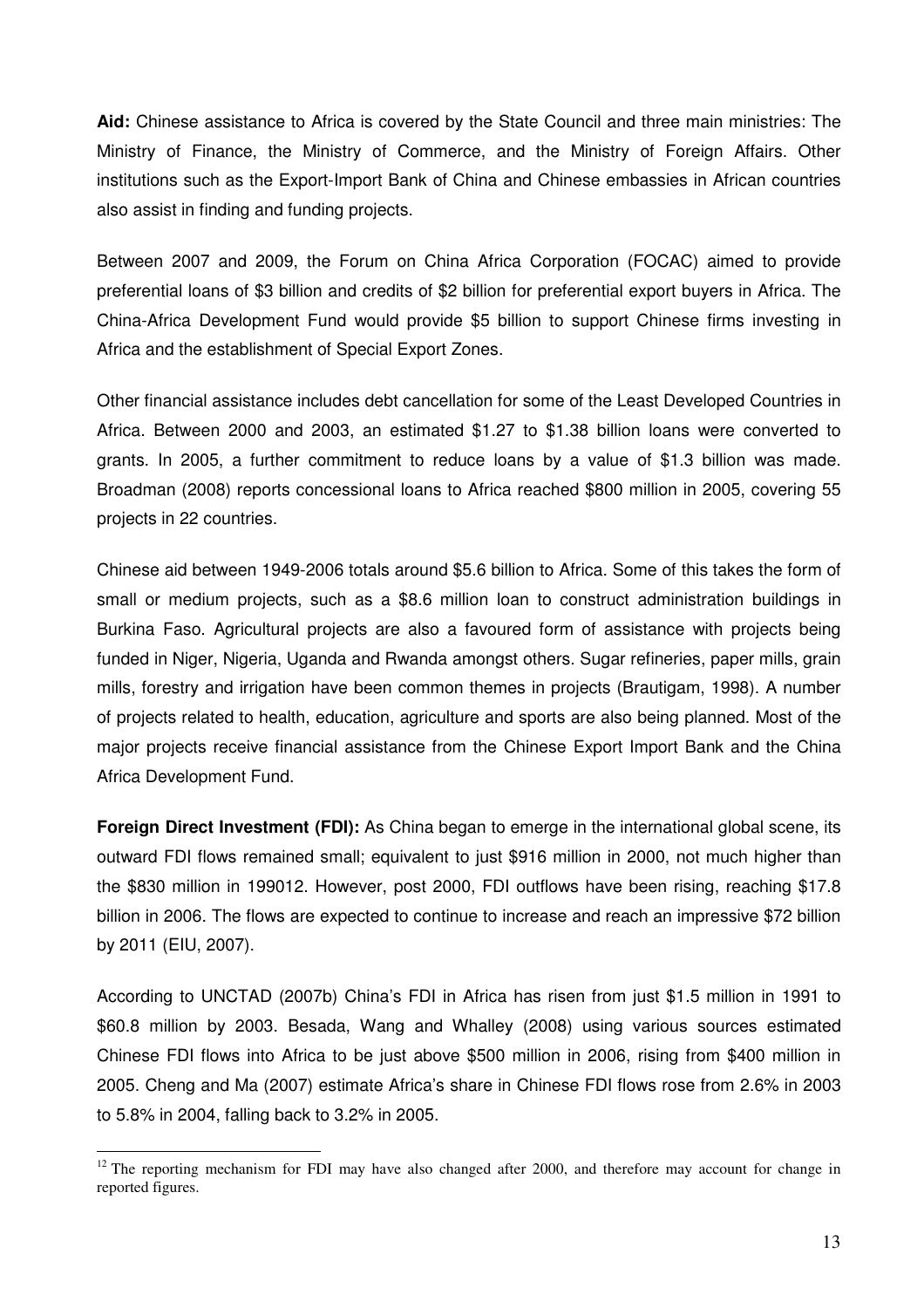**Aid:** Chinese assistance to Africa is covered by the State Council and three main ministries: The Ministry of Finance, the Ministry of Commerce, and the Ministry of Foreign Affairs. Other institutions such as the Export-Import Bank of China and Chinese embassies in African countries also assist in finding and funding projects.

Between 2007 and 2009, the Forum on China Africa Corporation (FOCAC) aimed to provide preferential loans of \$3 billion and credits of \$2 billion for preferential export buyers in Africa. The China-Africa Development Fund would provide \$5 billion to support Chinese firms investing in Africa and the establishment of Special Export Zones.

Other financial assistance includes debt cancellation for some of the Least Developed Countries in Africa. Between 2000 and 2003, an estimated \$1.27 to \$1.38 billion loans were converted to grants. In 2005, a further commitment to reduce loans by a value of \$1.3 billion was made. Broadman (2008) reports concessional loans to Africa reached \$800 million in 2005, covering 55 projects in 22 countries.

Chinese aid between 1949-2006 totals around \$5.6 billion to Africa. Some of this takes the form of small or medium projects, such as a \$8.6 million loan to construct administration buildings in Burkina Faso. Agricultural projects are also a favoured form of assistance with projects being funded in Niger, Nigeria, Uganda and Rwanda amongst others. Sugar refineries, paper mills, grain mills, forestry and irrigation have been common themes in projects (Brautigam, 1998). A number of projects related to health, education, agriculture and sports are also being planned. Most of the major projects receive financial assistance from the Chinese Export Import Bank and the China Africa Development Fund.

**Foreign Direct Investment (FDI):** As China began to emerge in the international global scene, its outward FDI flows remained small; equivalent to just \$916 million in 2000, not much higher than the \$830 million in 199012. However, post 2000, FDI outflows have been rising, reaching \$17.8 billion in 2006. The flows are expected to continue to increase and reach an impressive \$72 billion by 2011 (EIU, 2007).

According to UNCTAD (2007b) China's FDI in Africa has risen from just \$1.5 million in 1991 to \$60.8 million by 2003. Besada, Wang and Whalley (2008) using various sources estimated Chinese FDI flows into Africa to be just above \$500 million in 2006, rising from \$400 million in 2005. Cheng and Ma (2007) estimate Africa's share in Chinese FDI flows rose from 2.6% in 2003 to 5.8% in 2004, falling back to 3.2% in 2005.

 $\overline{a}$  $12$  The reporting mechanism for FDI may have also changed after 2000, and therefore may account for change in reported figures.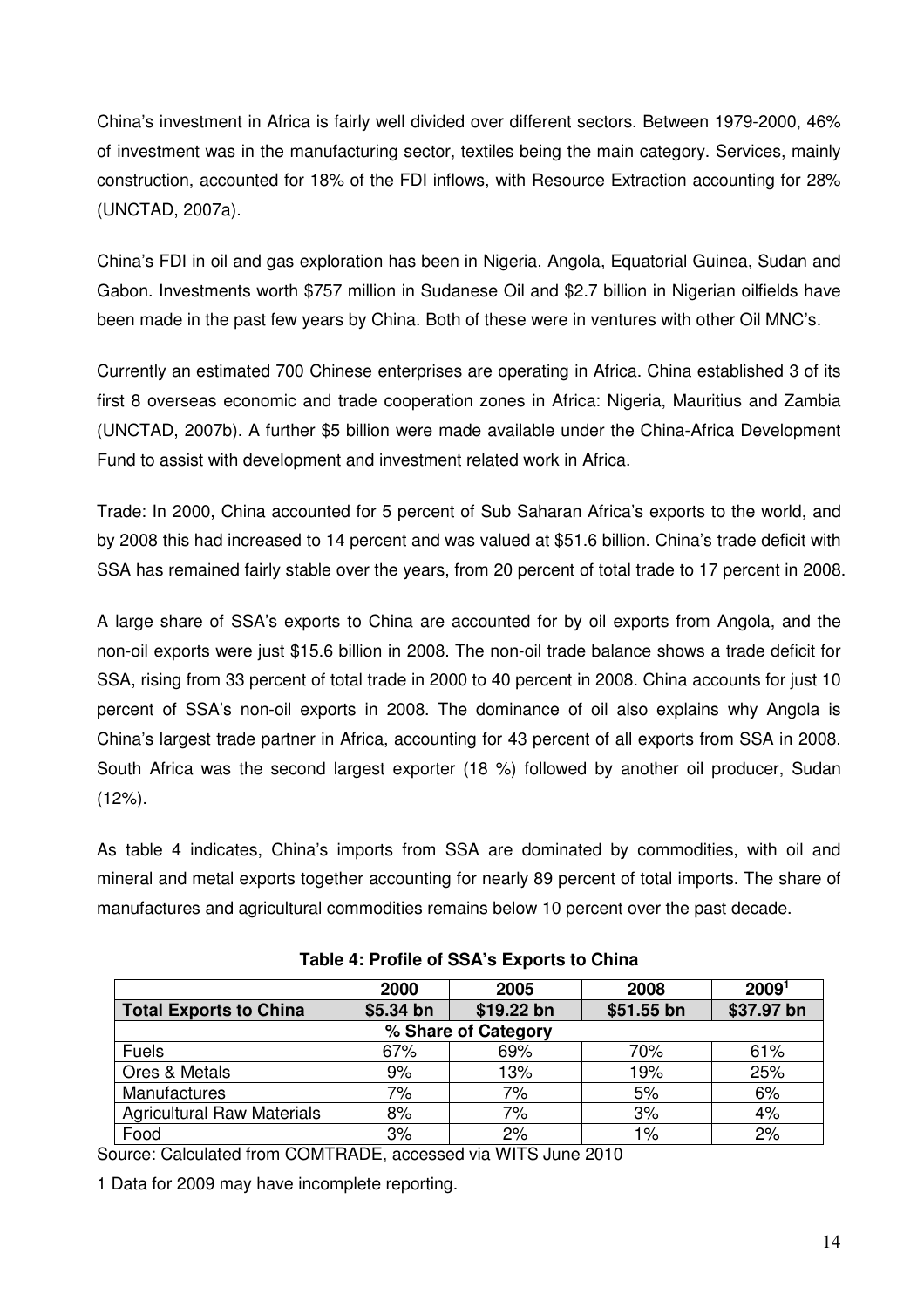China's investment in Africa is fairly well divided over different sectors. Between 1979-2000, 46% of investment was in the manufacturing sector, textiles being the main category. Services, mainly construction, accounted for 18% of the FDI inflows, with Resource Extraction accounting for 28% (UNCTAD, 2007a).

China's FDI in oil and gas exploration has been in Nigeria, Angola, Equatorial Guinea, Sudan and Gabon. Investments worth \$757 million in Sudanese Oil and \$2.7 billion in Nigerian oilfields have been made in the past few years by China. Both of these were in ventures with other Oil MNC's.

Currently an estimated 700 Chinese enterprises are operating in Africa. China established 3 of its first 8 overseas economic and trade cooperation zones in Africa: Nigeria, Mauritius and Zambia (UNCTAD, 2007b). A further \$5 billion were made available under the China-Africa Development Fund to assist with development and investment related work in Africa.

Trade: In 2000, China accounted for 5 percent of Sub Saharan Africa's exports to the world, and by 2008 this had increased to 14 percent and was valued at \$51.6 billion. China's trade deficit with SSA has remained fairly stable over the years, from 20 percent of total trade to 17 percent in 2008.

A large share of SSA's exports to China are accounted for by oil exports from Angola, and the non-oil exports were just \$15.6 billion in 2008. The non-oil trade balance shows a trade deficit for SSA, rising from 33 percent of total trade in 2000 to 40 percent in 2008. China accounts for just 10 percent of SSA's non-oil exports in 2008. The dominance of oil also explains why Angola is China's largest trade partner in Africa, accounting for 43 percent of all exports from SSA in 2008. South Africa was the second largest exporter (18 %) followed by another oil producer, Sudan (12%).

As table 4 indicates, China's imports from SSA are dominated by commodities, with oil and mineral and metal exports together accounting for nearly 89 percent of total imports. The share of manufactures and agricultural commodities remains below 10 percent over the past decade.

|                                   | 2000       | 2005       | 2008       | 2009 <sup>1</sup> |  |
|-----------------------------------|------------|------------|------------|-------------------|--|
| <b>Total Exports to China</b>     | $$5.34$ bn | \$19.22 bn | \$51.55 bn | \$37.97 bn        |  |
| % Share of Category               |            |            |            |                   |  |
| <b>Fuels</b>                      | 67%        | 69%        | 70%        | 61%               |  |
| Ores & Metals                     | 9%         | 13%        | 19%        | 25%               |  |
| Manufactures                      | 7%         | 7%         | 5%         | 6%                |  |
| <b>Agricultural Raw Materials</b> | 8%         | 7%         | 3%         | 4%                |  |
| Food                              | 3%         | 2%         | 1%         | 2%                |  |

**Table 4: Profile of SSA's Exports to China** 

Source: Calculated from COMTRADE, accessed via WITS June 2010

1 Data for 2009 may have incomplete reporting.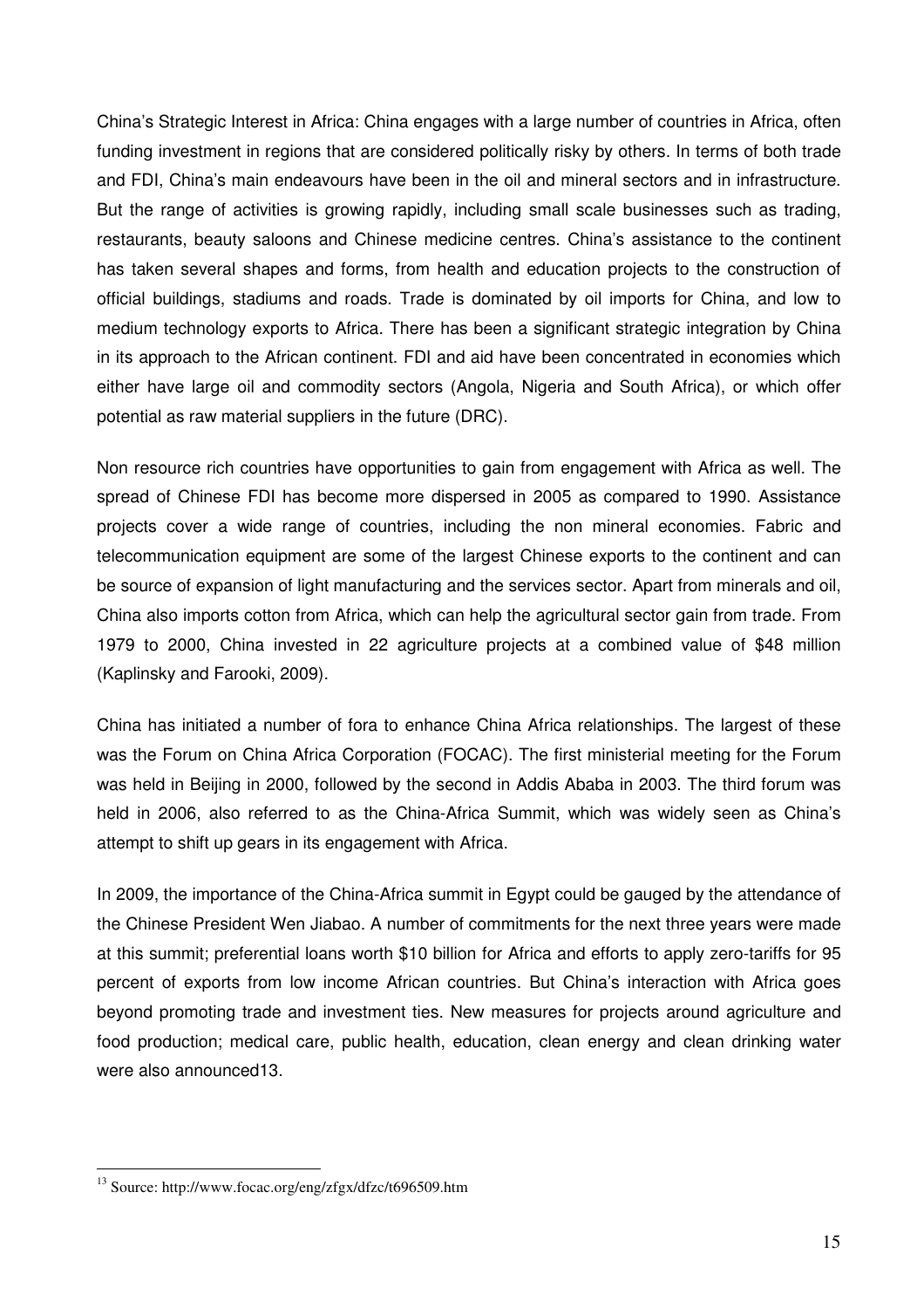China's Strategic Interest in Africa: China engages with a large number of countries in Africa, often funding investment in regions that are considered politically risky by others. In terms of both trade and FDI, China's main endeavours have been in the oil and mineral sectors and in infrastructure. But the range of activities is growing rapidly, including small scale businesses such as trading, restaurants, beauty saloons and Chinese medicine centres. China's assistance to the continent has taken several shapes and forms, from health and education projects to the construction of official buildings, stadiums and roads. Trade is dominated by oil imports for China, and low to medium technology exports to Africa. There has been a significant strategic integration by China in its approach to the African continent. FDI and aid have been concentrated in economies which either have large oil and commodity sectors (Angola, Nigeria and South Africa), or which offer potential as raw material suppliers in the future (DRC).

Non resource rich countries have opportunities to gain from engagement with Africa as well. The spread of Chinese FDI has become more dispersed in 2005 as compared to 1990. Assistance projects cover a wide range of countries, including the non mineral economies. Fabric and telecommunication equipment are some of the largest Chinese exports to the continent and can be source of expansion of light manufacturing and the services sector. Apart from minerals and oil, China also imports cotton from Africa, which can help the agricultural sector gain from trade. From 1979 to 2000, China invested in 22 agriculture projects at a combined value of \$48 million (Kaplinsky and Farooki, 2009).

China has initiated a number of fora to enhance China Africa relationships. The largest of these was the Forum on China Africa Corporation (FOCAC). The first ministerial meeting for the Forum was held in Beijing in 2000, followed by the second in Addis Ababa in 2003. The third forum was held in 2006, also referred to as the China-Africa Summit, which was widely seen as China's attempt to shift up gears in its engagement with Africa.

In 2009, the importance of the China-Africa summit in Egypt could be gauged by the attendance of the Chinese President Wen Jiabao. A number of commitments for the next three years were made at this summit; preferential loans worth \$10 billion for Africa and efforts to apply zero-tariffs for 95 percent of exports from low income African countries. But China's interaction with Africa goes beyond promoting trade and investment ties. New measures for projects around agriculture and food production; medical care, public health, education, clean energy and clean drinking water were also announced13.

<sup>&</sup>lt;sup>13</sup> Source: http://www.focac.org/eng/zfgx/dfzc/t696509.htm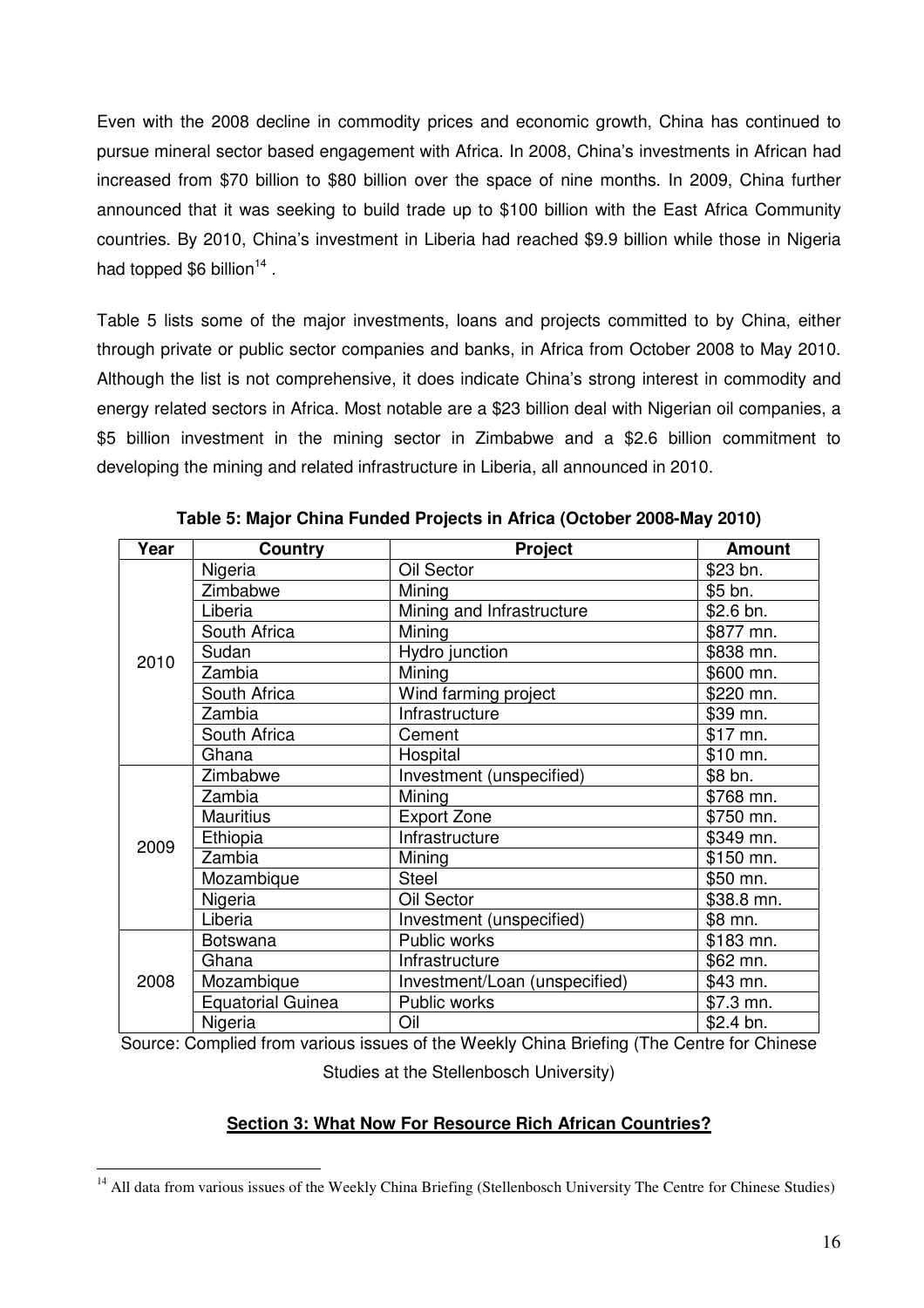Even with the 2008 decline in commodity prices and economic growth, China has continued to pursue mineral sector based engagement with Africa. In 2008, China's investments in African had increased from \$70 billion to \$80 billion over the space of nine months. In 2009, China further announced that it was seeking to build trade up to \$100 billion with the East Africa Community countries. By 2010, China's investment in Liberia had reached \$9.9 billion while those in Nigeria had topped \$6 billion<sup>14</sup>.

Table 5 lists some of the major investments, loans and projects committed to by China, either through private or public sector companies and banks, in Africa from October 2008 to May 2010. Although the list is not comprehensive, it does indicate China's strong interest in commodity and energy related sectors in Africa. Most notable are a \$23 billion deal with Nigerian oil companies, a \$5 billion investment in the mining sector in Zimbabwe and a \$2.6 billion commitment to developing the mining and related infrastructure in Liberia, all announced in 2010.

| Year | Country                  | <b>Project</b>                | <b>Amount</b> |
|------|--------------------------|-------------------------------|---------------|
|      | Nigeria                  | Oil Sector                    | \$23 bn.      |
|      | Zimbabwe                 | Mining                        | \$5 bn.       |
|      | Liberia                  | Mining and Infrastructure     | \$2.6 bn.     |
|      | South Africa             | Mining                        | \$877 mn.     |
|      | Sudan                    | Hydro junction                | \$838 mn.     |
| 2010 | Zambia                   | Mining                        | \$600 mn.     |
|      | South Africa             | Wind farming project          | \$220 mn.     |
|      | Zambia                   | Infrastructure                | \$39 mn.      |
|      | South Africa             | Cement                        | \$17 mn.      |
|      | Ghana                    | Hospital                      | \$10 mn.      |
| 2009 | Zimbabwe                 | Investment (unspecified)      | \$8 bn.       |
|      | Zambia                   | Mining                        | \$768 mn.     |
|      | <b>Mauritius</b>         | <b>Export Zone</b>            | \$750 mn.     |
|      | Ethiopia                 | Infrastructure                | \$349 mn.     |
|      | Zambia                   | Mining                        | \$150 mn.     |
|      | Mozambique               | <b>Steel</b>                  | \$50 mn.      |
|      | Nigeria                  | Oil Sector                    | \$38.8 mn.    |
|      | Liberia                  | Investment (unspecified)      | \$8 mn.       |
| 2008 | <b>Botswana</b>          | Public works                  | \$183 mn.     |
|      | Ghana                    | Infrastructure                | \$62 mn.      |
|      | Mozambique               | Investment/Loan (unspecified) | \$43 mn.      |
|      | <b>Equatorial Guinea</b> | Public works                  | \$7.3 mn.     |
|      | Nigeria                  | Oil                           | \$2.4 bn.     |

**Table 5: Major China Funded Projects in Africa (October 2008-May 2010)** 

Source: Complied from various issues of the Weekly China Briefing (The Centre for Chinese

Studies at the Stellenbosch University)

#### **Section 3: What Now For Resource Rich African Countries?**

 $\overline{a}$ <sup>14</sup> All data from various issues of the Weekly China Briefing (Stellenbosch University The Centre for Chinese Studies)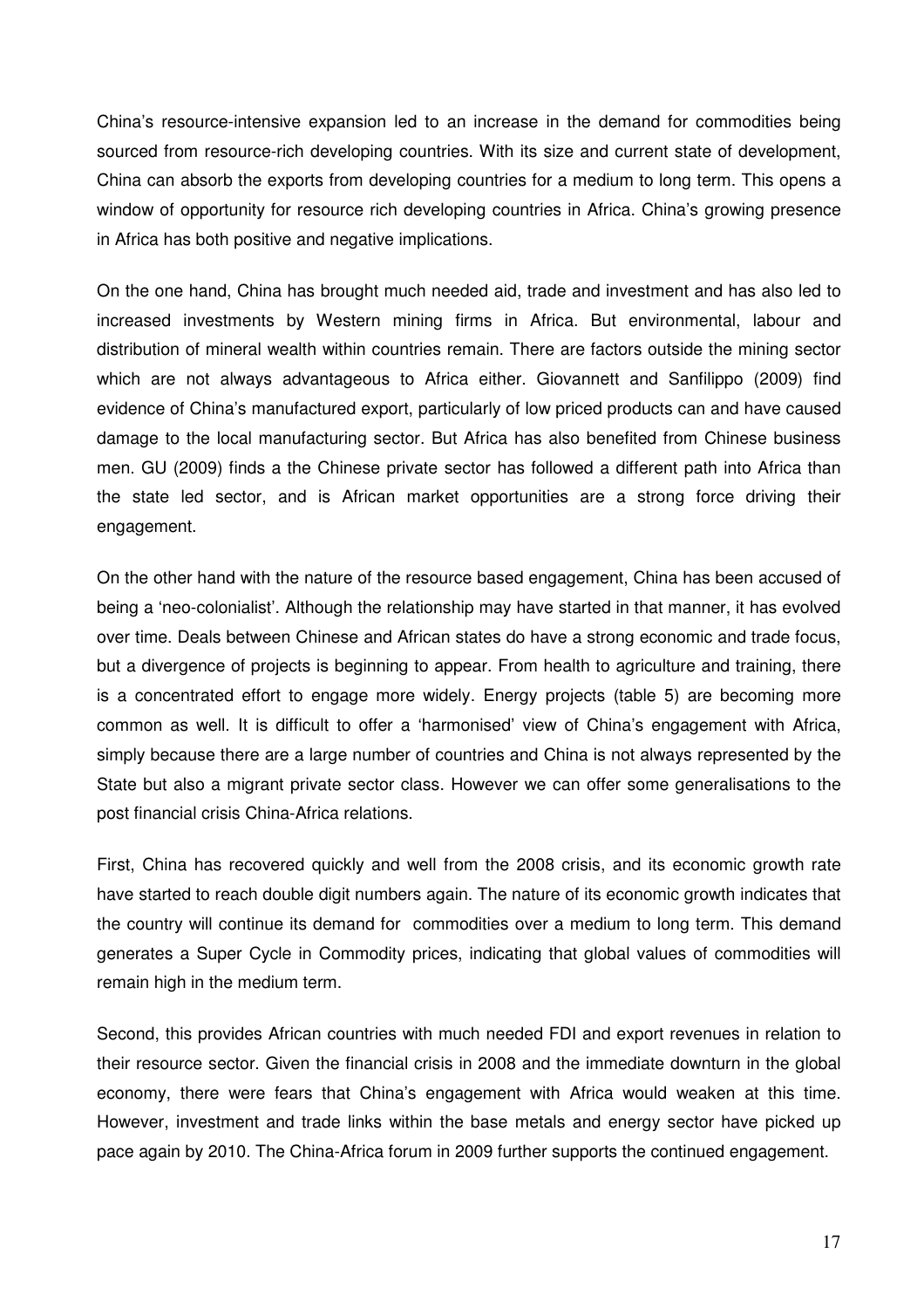China's resource-intensive expansion led to an increase in the demand for commodities being sourced from resource-rich developing countries. With its size and current state of development, China can absorb the exports from developing countries for a medium to long term. This opens a window of opportunity for resource rich developing countries in Africa. China's growing presence in Africa has both positive and negative implications.

On the one hand, China has brought much needed aid, trade and investment and has also led to increased investments by Western mining firms in Africa. But environmental, labour and distribution of mineral wealth within countries remain. There are factors outside the mining sector which are not always advantageous to Africa either. Giovannett and Sanfilippo (2009) find evidence of China's manufactured export, particularly of low priced products can and have caused damage to the local manufacturing sector. But Africa has also benefited from Chinese business men. GU (2009) finds a the Chinese private sector has followed a different path into Africa than the state led sector, and is African market opportunities are a strong force driving their engagement.

On the other hand with the nature of the resource based engagement, China has been accused of being a 'neo-colonialist'. Although the relationship may have started in that manner, it has evolved over time. Deals between Chinese and African states do have a strong economic and trade focus, but a divergence of projects is beginning to appear. From health to agriculture and training, there is a concentrated effort to engage more widely. Energy projects (table 5) are becoming more common as well. It is difficult to offer a 'harmonised' view of China's engagement with Africa, simply because there are a large number of countries and China is not always represented by the State but also a migrant private sector class. However we can offer some generalisations to the post financial crisis China-Africa relations.

First, China has recovered quickly and well from the 2008 crisis, and its economic growth rate have started to reach double digit numbers again. The nature of its economic growth indicates that the country will continue its demand for commodities over a medium to long term. This demand generates a Super Cycle in Commodity prices, indicating that global values of commodities will remain high in the medium term.

Second, this provides African countries with much needed FDI and export revenues in relation to their resource sector. Given the financial crisis in 2008 and the immediate downturn in the global economy, there were fears that China's engagement with Africa would weaken at this time. However, investment and trade links within the base metals and energy sector have picked up pace again by 2010. The China-Africa forum in 2009 further supports the continued engagement.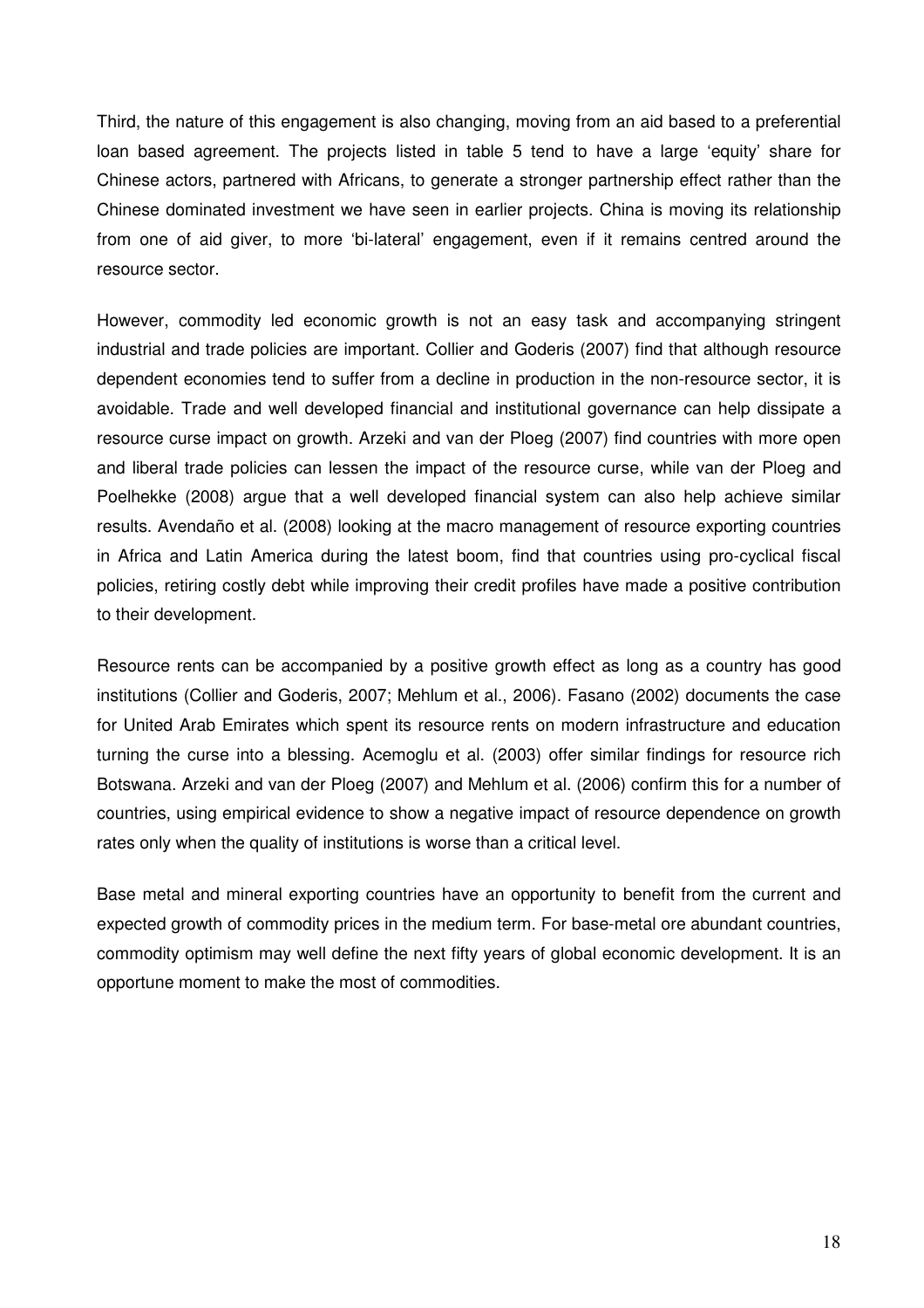Third, the nature of this engagement is also changing, moving from an aid based to a preferential loan based agreement. The projects listed in table 5 tend to have a large 'equity' share for Chinese actors, partnered with Africans, to generate a stronger partnership effect rather than the Chinese dominated investment we have seen in earlier projects. China is moving its relationship from one of aid giver, to more 'bi-lateral' engagement, even if it remains centred around the resource sector.

However, commodity led economic growth is not an easy task and accompanying stringent industrial and trade policies are important. Collier and Goderis (2007) find that although resource dependent economies tend to suffer from a decline in production in the non-resource sector, it is avoidable. Trade and well developed financial and institutional governance can help dissipate a resource curse impact on growth. Arzeki and van der Ploeg (2007) find countries with more open and liberal trade policies can lessen the impact of the resource curse, while van der Ploeg and Poelhekke (2008) argue that a well developed financial system can also help achieve similar results. Avendaño et al. (2008) looking at the macro management of resource exporting countries in Africa and Latin America during the latest boom, find that countries using pro-cyclical fiscal policies, retiring costly debt while improving their credit profiles have made a positive contribution to their development.

Resource rents can be accompanied by a positive growth effect as long as a country has good institutions (Collier and Goderis, 2007; Mehlum et al., 2006). Fasano (2002) documents the case for United Arab Emirates which spent its resource rents on modern infrastructure and education turning the curse into a blessing. Acemoglu et al. (2003) offer similar findings for resource rich Botswana. Arzeki and van der Ploeg (2007) and Mehlum et al. (2006) confirm this for a number of countries, using empirical evidence to show a negative impact of resource dependence on growth rates only when the quality of institutions is worse than a critical level.

Base metal and mineral exporting countries have an opportunity to benefit from the current and expected growth of commodity prices in the medium term. For base-metal ore abundant countries, commodity optimism may well define the next fifty years of global economic development. It is an opportune moment to make the most of commodities.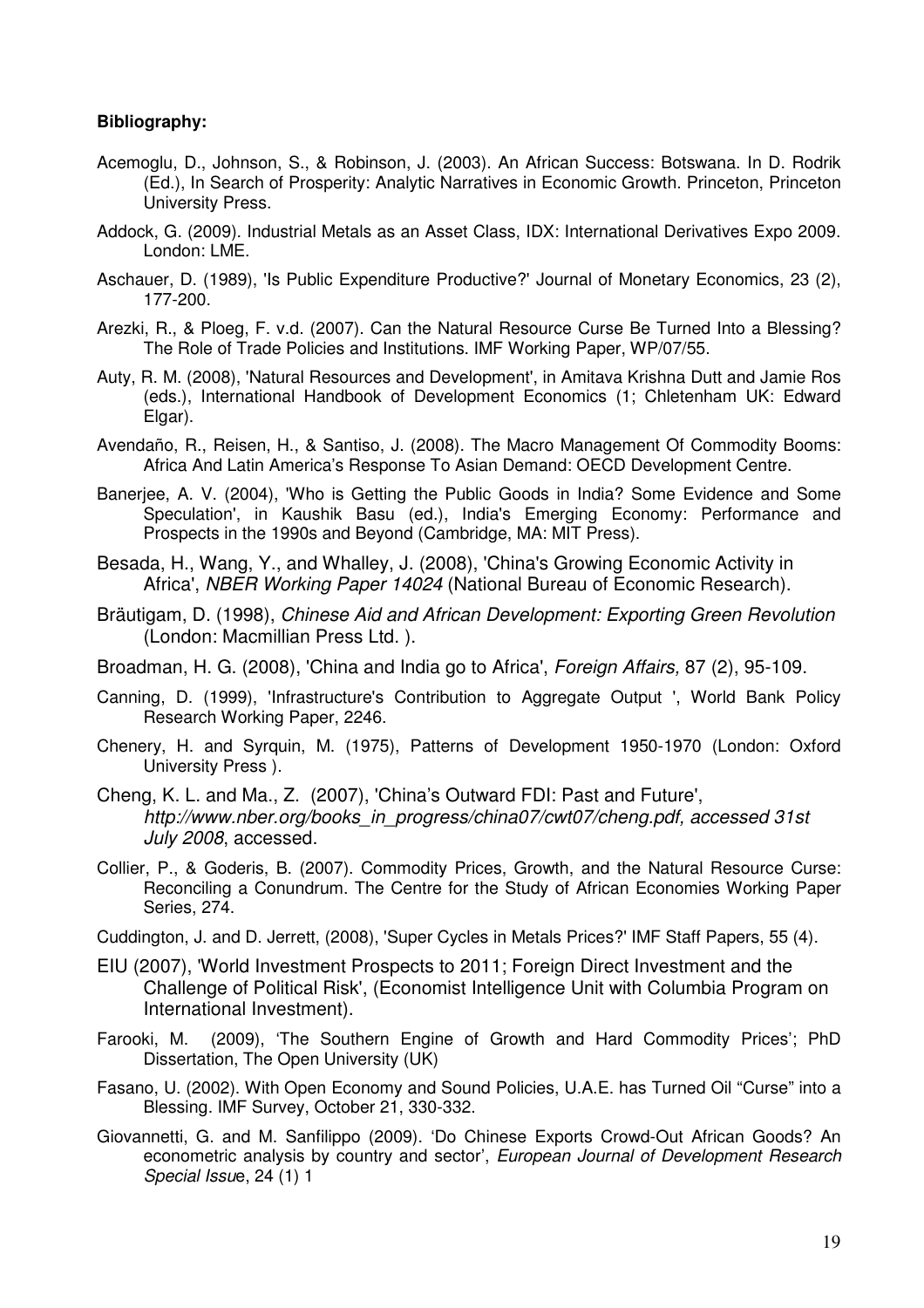#### **Bibliography:**

- Acemoglu, D., Johnson, S., & Robinson, J. (2003). An African Success: Botswana. In D. Rodrik (Ed.), In Search of Prosperity: Analytic Narratives in Economic Growth. Princeton, Princeton University Press.
- Addock, G. (2009). Industrial Metals as an Asset Class, IDX: International Derivatives Expo 2009. London: LME.
- Aschauer, D. (1989), 'Is Public Expenditure Productive?' Journal of Monetary Economics, 23 (2), 177-200.
- Arezki, R., & Ploeg, F. v.d. (2007). Can the Natural Resource Curse Be Turned Into a Blessing? The Role of Trade Policies and Institutions. IMF Working Paper, WP/07/55.
- Auty, R. M. (2008), 'Natural Resources and Development', in Amitava Krishna Dutt and Jamie Ros (eds.), International Handbook of Development Economics (1; Chletenham UK: Edward Elgar).
- Avendaño, R., Reisen, H., & Santiso, J. (2008). The Macro Management Of Commodity Booms: Africa And Latin America's Response To Asian Demand: OECD Development Centre.
- Banerjee, A. V. (2004), 'Who is Getting the Public Goods in India? Some Evidence and Some Speculation', in Kaushik Basu (ed.), India's Emerging Economy: Performance and Prospects in the 1990s and Beyond (Cambridge, MA: MIT Press).
- Besada, H., Wang, Y., and Whalley, J. (2008), 'China's Growing Economic Activity in Africa', NBER Working Paper 14024 (National Bureau of Economic Research).
- Bräutigam, D. (1998), Chinese Aid and African Development: Exporting Green Revolution (London: Macmillian Press Ltd. ).
- Broadman, H. G. (2008), 'China and India go to Africa', Foreign Affairs, 87 (2), 95-109.
- Canning, D. (1999), 'Infrastructure's Contribution to Aggregate Output ', World Bank Policy Research Working Paper, 2246.
- Chenery, H. and Syrquin, M. (1975), Patterns of Development 1950-1970 (London: Oxford University Press ).
- Cheng, K. L. and Ma., Z. (2007), 'China's Outward FDI: Past and Future', http://www.nber.org/books\_in\_progress/china07/cwt07/cheng.pdf, accessed 31st July 2008, accessed.
- Collier, P., & Goderis, B. (2007). Commodity Prices, Growth, and the Natural Resource Curse: Reconciling a Conundrum. The Centre for the Study of African Economies Working Paper Series, 274.
- Cuddington, J. and D. Jerrett, (2008), 'Super Cycles in Metals Prices?' IMF Staff Papers, 55 (4).
- EIU (2007), 'World Investment Prospects to 2011; Foreign Direct Investment and the Challenge of Political Risk', (Economist Intelligence Unit with Columbia Program on International Investment).
- Farooki, M. (2009), 'The Southern Engine of Growth and Hard Commodity Prices'; PhD Dissertation, The Open University (UK)
- Fasano, U. (2002). With Open Economy and Sound Policies, U.A.E. has Turned Oil "Curse" into a Blessing. IMF Survey, October 21, 330-332.
- Giovannetti, G. and M. Sanfilippo (2009). 'Do Chinese Exports Crowd-Out African Goods? An econometric analysis by country and sector', European Journal of Development Research Special Issue, 24 (1) 1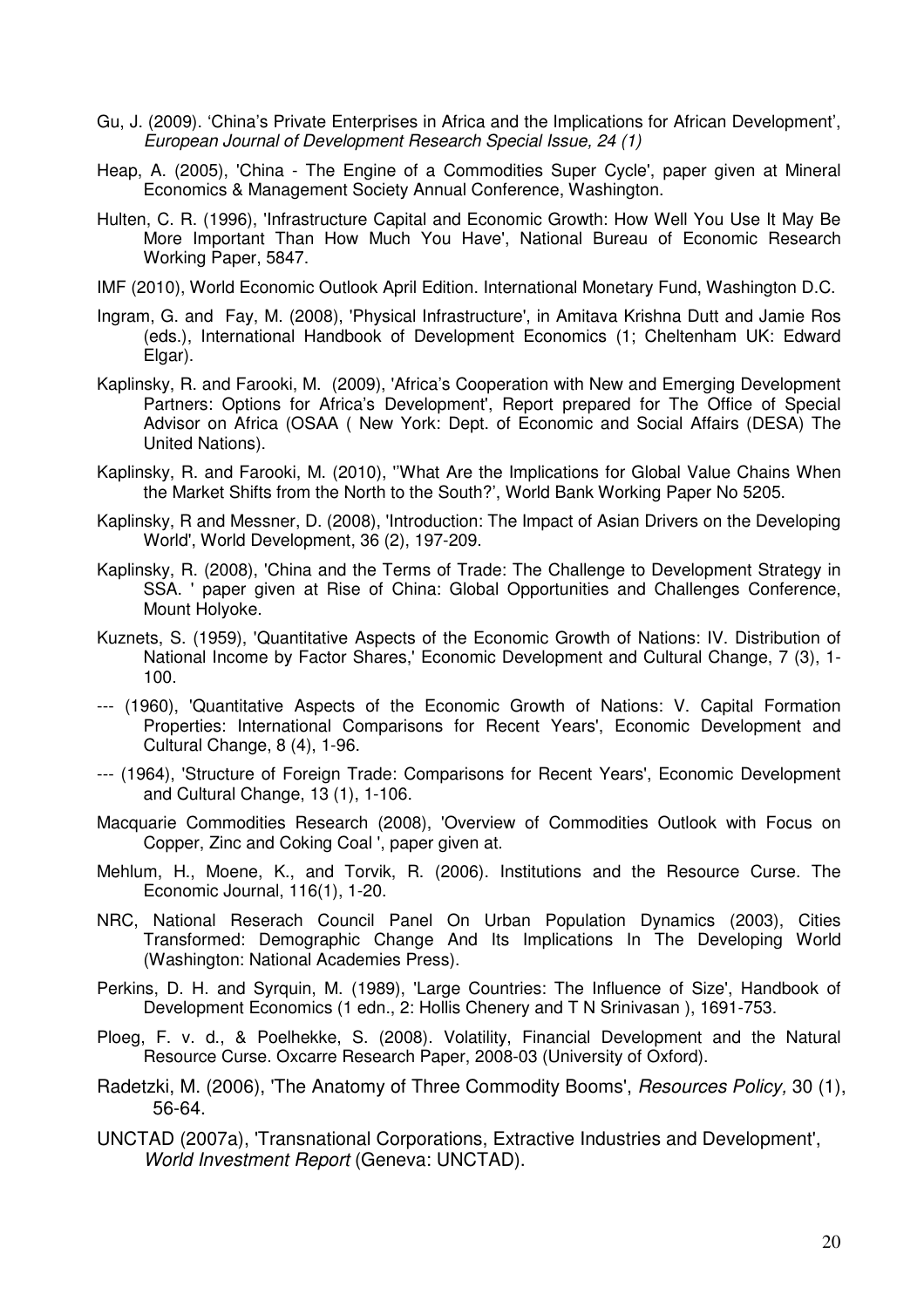- Gu, J. (2009). 'China's Private Enterprises in Africa and the Implications for African Development', European Journal of Development Research Special Issue, 24 (1)
- Heap, A. (2005), 'China The Engine of a Commodities Super Cycle', paper given at Mineral Economics & Management Society Annual Conference, Washington.
- Hulten, C. R. (1996), 'Infrastructure Capital and Economic Growth: How Well You Use It May Be More Important Than How Much You Have', National Bureau of Economic Research Working Paper, 5847.
- IMF (2010), World Economic Outlook April Edition. International Monetary Fund, Washington D.C.
- Ingram, G. and Fay, M. (2008), 'Physical Infrastructure', in Amitava Krishna Dutt and Jamie Ros (eds.), International Handbook of Development Economics (1; Cheltenham UK: Edward Elgar).
- Kaplinsky, R. and Farooki, M. (2009), 'Africa's Cooperation with New and Emerging Development Partners: Options for Africa's Development', Report prepared for The Office of Special Advisor on Africa (OSAA ( New York: Dept. of Economic and Social Affairs (DESA) The United Nations).
- Kaplinsky, R. and Farooki, M. (2010), ''What Are the Implications for Global Value Chains When the Market Shifts from the North to the South?', World Bank Working Paper No 5205.
- Kaplinsky, R and Messner, D. (2008), 'Introduction: The Impact of Asian Drivers on the Developing World', World Development, 36 (2), 197-209.
- Kaplinsky, R. (2008), 'China and the Terms of Trade: The Challenge to Development Strategy in SSA. ' paper given at Rise of China: Global Opportunities and Challenges Conference, Mount Holyoke.
- Kuznets, S. (1959), 'Quantitative Aspects of the Economic Growth of Nations: IV. Distribution of National Income by Factor Shares,' Economic Development and Cultural Change, 7 (3), 1- 100.
- --- (1960), 'Quantitative Aspects of the Economic Growth of Nations: V. Capital Formation Properties: International Comparisons for Recent Years', Economic Development and Cultural Change, 8 (4), 1-96.
- --- (1964), 'Structure of Foreign Trade: Comparisons for Recent Years', Economic Development and Cultural Change, 13 (1), 1-106.
- Macquarie Commodities Research (2008), 'Overview of Commodities Outlook with Focus on Copper, Zinc and Coking Coal ', paper given at.
- Mehlum, H., Moene, K., and Torvik, R. (2006). Institutions and the Resource Curse. The Economic Journal, 116(1), 1-20.
- NRC, National Reserach Council Panel On Urban Population Dynamics (2003), Cities Transformed: Demographic Change And Its Implications In The Developing World (Washington: National Academies Press).
- Perkins, D. H. and Syrquin, M. (1989), 'Large Countries: The Influence of Size', Handbook of Development Economics (1 edn., 2: Hollis Chenery and T N Srinivasan ), 1691-753.
- Ploeg, F. v. d., & Poelhekke, S. (2008). Volatility, Financial Development and the Natural Resource Curse. Oxcarre Research Paper, 2008-03 (University of Oxford).
- Radetzki, M. (2006), 'The Anatomy of Three Commodity Booms', *Resources Policy*, 30 (1), 56-64.
- UNCTAD (2007a), 'Transnational Corporations, Extractive Industries and Development', World Investment Report (Geneva: UNCTAD).